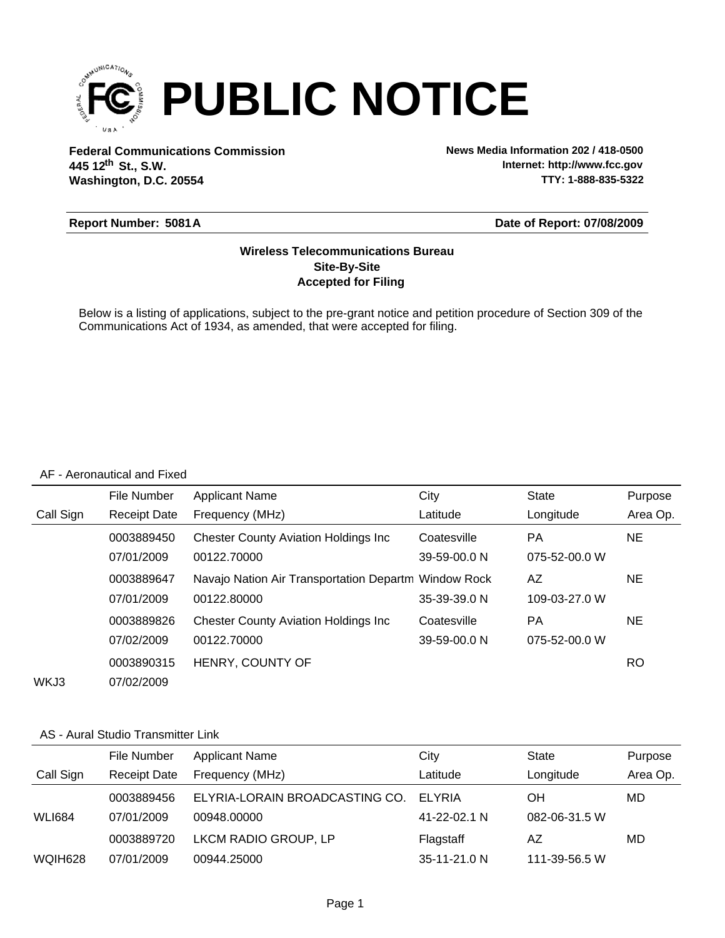

**Federal Communications Commission News Media Information 202 / 418-0500 Washington, D.C. 20554 th 445 12 St., S.W.**

**Internet: http://www.fcc.gov TTY: 1-888-835-5322**

### **Report Number: 5081A**

#### **Date of Report: 07/08/2009**

### **Accepted for Filing Site-By-Site Wireless Telecommunications Bureau**

Below is a listing of applications, subject to the pre-grant notice and petition procedure of Section 309 of the Communications Act of 1934, as amended, that were accepted for filing.

#### AF - Aeronautical and Fixed

|           | File Number         | <b>Applicant Name</b>                                | City         | <b>State</b>  | Purpose   |
|-----------|---------------------|------------------------------------------------------|--------------|---------------|-----------|
| Call Sign | <b>Receipt Date</b> | Frequency (MHz)                                      | Latitude     | Longitude     | Area Op.  |
|           | 0003889450          | <b>Chester County Aviation Holdings Inc.</b>         | Coatesville  | РA            | <b>NE</b> |
|           | 07/01/2009          | 00122.70000                                          | 39-59-00.0 N | 075-52-00.0 W |           |
|           | 0003889647          | Navajo Nation Air Transportation Departm Window Rock |              | AZ            | <b>NE</b> |
|           | 07/01/2009          | 00122.80000                                          | 35-39-39.0 N | 109-03-27.0 W |           |
|           | 0003889826          | <b>Chester County Aviation Holdings Inc.</b>         | Coatesville  | PA            | <b>NE</b> |
|           | 07/02/2009          | 00122.70000                                          | 39-59-00.0 N | 075-52-00.0 W |           |
|           | 0003890315          | HENRY, COUNTY OF                                     |              |               | RO.       |
| WKJ3      | 07/02/2009          |                                                      |              |               |           |

#### AS - Aural Studio Transmitter Link

|               | File Number         | <b>Applicant Name</b>          | City           | <b>State</b>  | Purpose  |
|---------------|---------------------|--------------------------------|----------------|---------------|----------|
| Call Sign     | <b>Receipt Date</b> | Frequency (MHz)                | Latitude       | Longitude     | Area Op. |
|               | 0003889456          | ELYRIA-LORAIN BROADCASTING CO. | ELYRIA         | OΗ            | MD       |
| <b>WLI684</b> | 07/01/2009          | 00948.00000                    | 41-22-02.1 N   | 082-06-31.5 W |          |
|               | 0003889720          | LKCM RADIO GROUP, LP           | Flagstaff      | AZ            | MD       |
| WQIH628       | 07/01/2009          | 00944.25000                    | $35-11-21.0 N$ | 111-39-56.5 W |          |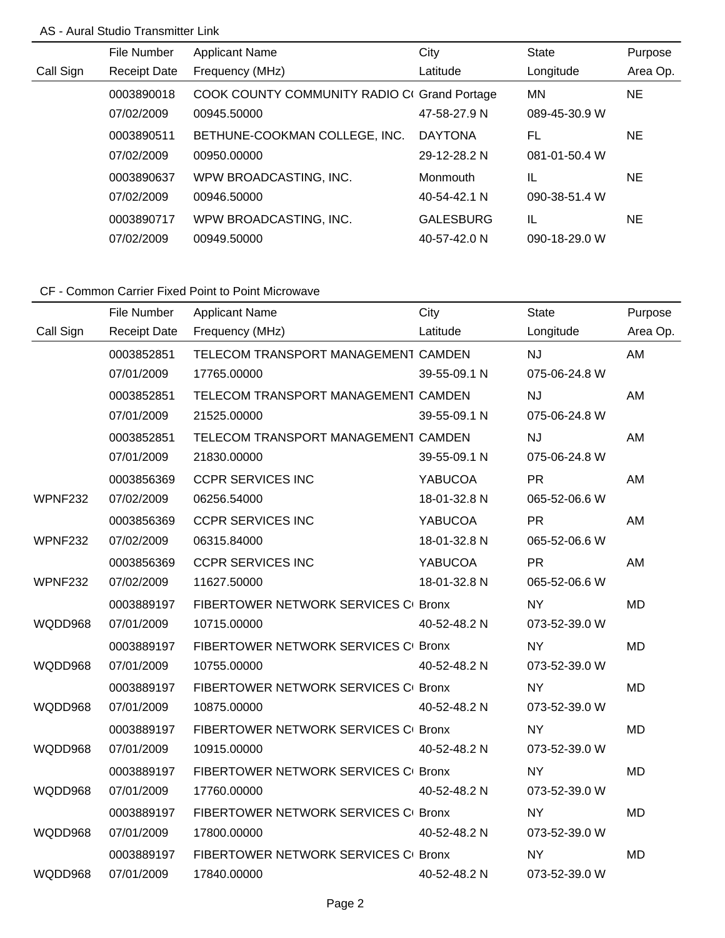## AS - Aural Studio Transmitter Link

|           | File Number         | <b>Applicant Name</b>                        | City             | <b>State</b>  | Purpose   |
|-----------|---------------------|----------------------------------------------|------------------|---------------|-----------|
| Call Sign | <b>Receipt Date</b> | Frequency (MHz)                              | Latitude         | Longitude     | Area Op.  |
|           | 0003890018          | COOK COUNTY COMMUNITY RADIO CI Grand Portage |                  | MN            | NE.       |
|           | 07/02/2009          | 00945.50000                                  | 47-58-27.9 N     | 089-45-30.9 W |           |
|           | 0003890511          | BETHUNE-COOKMAN COLLEGE, INC.                | <b>DAYTONA</b>   | FL            | <b>NE</b> |
|           | 07/02/2009          | 00950.00000                                  | 29-12-28.2 N     | 081-01-50.4 W |           |
|           | 0003890637          | WPW BROADCASTING, INC.                       | Monmouth         | IL            | NE.       |
|           | 07/02/2009          | 00946.50000                                  | 40-54-42.1 N     | 090-38-51.4 W |           |
|           | 0003890717          | WPW BROADCASTING, INC.                       | <b>GALESBURG</b> | IL            | <b>NE</b> |
|           | 07/02/2009          | 00949.50000                                  | 40-57-42.0 N     | 090-18-29.0 W |           |

|                | File Number         | <b>Applicant Name</b>                | City         | <b>State</b>  | Purpose   |
|----------------|---------------------|--------------------------------------|--------------|---------------|-----------|
| Call Sign      | <b>Receipt Date</b> | Frequency (MHz)                      | Latitude     | Longitude     | Area Op.  |
|                | 0003852851          | TELECOM TRANSPORT MANAGEMENT CAMDEN  |              | <b>NJ</b>     | AM        |
|                | 07/01/2009          | 17765.00000                          | 39-55-09.1 N | 075-06-24.8 W |           |
|                | 0003852851          | TELECOM TRANSPORT MANAGEMENT CAMDEN  |              | <b>NJ</b>     | AM        |
|                | 07/01/2009          | 21525.00000                          | 39-55-09.1 N | 075-06-24.8 W |           |
|                | 0003852851          | TELECOM TRANSPORT MANAGEMENT CAMDEN  |              | <b>NJ</b>     | AM        |
|                | 07/01/2009          | 21830.00000                          | 39-55-09.1 N | 075-06-24.8 W |           |
|                | 0003856369          | <b>CCPR SERVICES INC</b>             | YABUCOA      | <b>PR</b>     | AM        |
| <b>WPNF232</b> | 07/02/2009          | 06256.54000                          | 18-01-32.8 N | 065-52-06.6 W |           |
|                | 0003856369          | <b>CCPR SERVICES INC</b>             | YABUCOA      | <b>PR</b>     | AM        |
| WPNF232        | 07/02/2009          | 06315.84000                          | 18-01-32.8 N | 065-52-06.6 W |           |
|                | 0003856369          | <b>CCPR SERVICES INC</b>             | YABUCOA      | <b>PR</b>     | AM        |
| WPNF232        | 07/02/2009          | 11627.50000                          | 18-01-32.8 N | 065-52-06.6 W |           |
|                | 0003889197          | FIBERTOWER NETWORK SERVICES CI Bronx |              | <b>NY</b>     | <b>MD</b> |
| WQDD968        | 07/01/2009          | 10715.00000                          | 40-52-48.2 N | 073-52-39.0 W |           |
|                | 0003889197          | FIBERTOWER NETWORK SERVICES CI Bronx |              | <b>NY</b>     | <b>MD</b> |
| WQDD968        | 07/01/2009          | 10755.00000                          | 40-52-48.2 N | 073-52-39.0 W |           |
|                | 0003889197          | FIBERTOWER NETWORK SERVICES C Bronx  |              | <b>NY</b>     | <b>MD</b> |
| WQDD968        | 07/01/2009          | 10875.00000                          | 40-52-48.2 N | 073-52-39.0 W |           |
|                | 0003889197          | FIBERTOWER NETWORK SERVICES CI Bronx |              | <b>NY</b>     | <b>MD</b> |
| WQDD968        | 07/01/2009          | 10915.00000                          | 40-52-48.2 N | 073-52-39.0 W |           |
|                | 0003889197          | FIBERTOWER NETWORK SERVICES CI Bronx |              | <b>NY</b>     | <b>MD</b> |
| WQDD968        | 07/01/2009          | 17760.00000                          | 40-52-48.2 N | 073-52-39.0 W |           |
|                | 0003889197          | FIBERTOWER NETWORK SERVICES C Bronx  |              | <b>NY</b>     | <b>MD</b> |
| WQDD968        | 07/01/2009          | 17800.00000                          | 40-52-48.2 N | 073-52-39.0 W |           |
|                | 0003889197          | FIBERTOWER NETWORK SERVICES CI Bronx |              | <b>NY</b>     | <b>MD</b> |
| WQDD968        | 07/01/2009          | 17840.00000                          | 40-52-48.2 N | 073-52-39.0 W |           |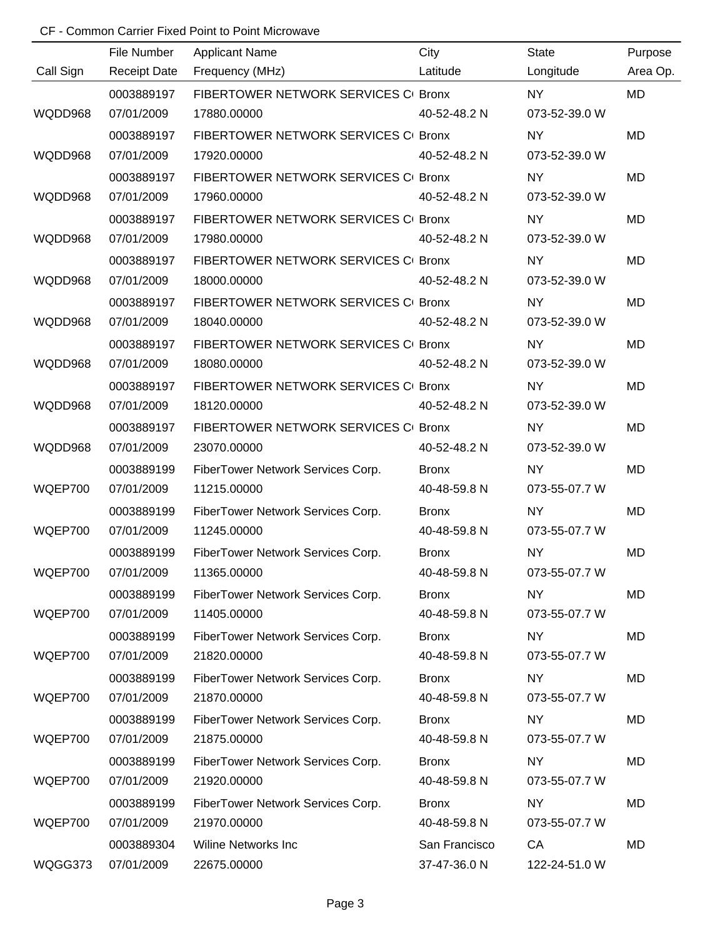|           | File Number         | <b>Applicant Name</b>                | City          | <b>State</b>  | Purpose   |
|-----------|---------------------|--------------------------------------|---------------|---------------|-----------|
| Call Sign | <b>Receipt Date</b> | Frequency (MHz)                      | Latitude      | Longitude     | Area Op.  |
|           | 0003889197          | FIBERTOWER NETWORK SERVICES CI Bronx |               | <b>NY</b>     | <b>MD</b> |
| WQDD968   | 07/01/2009          | 17880.00000                          | 40-52-48.2 N  | 073-52-39.0 W |           |
|           | 0003889197          | FIBERTOWER NETWORK SERVICES CI Bronx |               | <b>NY</b>     | <b>MD</b> |
| WQDD968   | 07/01/2009          | 17920.00000                          | 40-52-48.2 N  | 073-52-39.0 W |           |
|           | 0003889197          | FIBERTOWER NETWORK SERVICES CI Bronx |               | <b>NY</b>     | MD        |
| WQDD968   | 07/01/2009          | 17960.00000                          | 40-52-48.2 N  | 073-52-39.0 W |           |
|           | 0003889197          | FIBERTOWER NETWORK SERVICES CI Bronx |               | <b>NY</b>     | MD        |
| WQDD968   | 07/01/2009          | 17980.00000                          | 40-52-48.2 N  | 073-52-39.0 W |           |
|           | 0003889197          | FIBERTOWER NETWORK SERVICES CI Bronx |               | <b>NY</b>     | MD        |
| WQDD968   | 07/01/2009          | 18000.00000                          | 40-52-48.2 N  | 073-52-39.0 W |           |
|           | 0003889197          | FIBERTOWER NETWORK SERVICES CI Bronx |               | <b>NY</b>     | MD        |
| WQDD968   | 07/01/2009          | 18040.00000                          | 40-52-48.2 N  | 073-52-39.0 W |           |
|           | 0003889197          | FIBERTOWER NETWORK SERVICES CI Bronx |               | <b>NY</b>     | MD        |
| WQDD968   | 07/01/2009          | 18080.00000                          | 40-52-48.2 N  | 073-52-39.0 W |           |
|           | 0003889197          | FIBERTOWER NETWORK SERVICES CI Bronx |               | <b>NY</b>     | MD        |
| WQDD968   | 07/01/2009          | 18120.00000                          | 40-52-48.2 N  | 073-52-39.0 W |           |
|           | 0003889197          | FIBERTOWER NETWORK SERVICES CI Bronx |               | <b>NY</b>     | <b>MD</b> |
| WQDD968   | 07/01/2009          | 23070.00000                          | 40-52-48.2 N  | 073-52-39.0 W |           |
|           | 0003889199          | FiberTower Network Services Corp.    | <b>Bronx</b>  | <b>NY</b>     | MD        |
| WQEP700   | 07/01/2009          | 11215.00000                          | 40-48-59.8 N  | 073-55-07.7 W |           |
|           | 0003889199          | FiberTower Network Services Corp.    | <b>Bronx</b>  | <b>NY</b>     | <b>MD</b> |
| WQEP700   | 07/01/2009          | 11245.00000                          | 40-48-59.8 N  | 073-55-07.7 W |           |
|           | 0003889199          | FiberTower Network Services Corp.    | <b>Bronx</b>  | <b>NY</b>     | MD        |
| WQEP700   | 07/01/2009          | 11365.00000                          | 40-48-59.8 N  | 073-55-07.7 W |           |
|           | 0003889199          | FiberTower Network Services Corp.    | <b>Bronx</b>  | <b>NY</b>     | MD        |
| WQEP700   | 07/01/2009          | 11405.00000                          | 40-48-59.8 N  | 073-55-07.7 W |           |
|           | 0003889199          | FiberTower Network Services Corp.    | <b>Bronx</b>  | <b>NY</b>     | MD        |
| WQEP700   | 07/01/2009          | 21820.00000                          | 40-48-59.8 N  | 073-55-07.7 W |           |
|           | 0003889199          | FiberTower Network Services Corp.    | <b>Bronx</b>  | NY.           | MD        |
| WQEP700   | 07/01/2009          | 21870.00000                          | 40-48-59.8 N  | 073-55-07.7 W |           |
|           | 0003889199          | FiberTower Network Services Corp.    | <b>Bronx</b>  | <b>NY</b>     | MD        |
| WQEP700   | 07/01/2009          | 21875.00000                          | 40-48-59.8 N  | 073-55-07.7 W |           |
|           | 0003889199          | FiberTower Network Services Corp.    | <b>Bronx</b>  | <b>NY</b>     | MD        |
| WQEP700   | 07/01/2009          | 21920.00000                          | 40-48-59.8 N  | 073-55-07.7 W |           |
|           | 0003889199          | FiberTower Network Services Corp.    | <b>Bronx</b>  | <b>NY</b>     | MD        |
| WQEP700   | 07/01/2009          | 21970.00000                          | 40-48-59.8 N  | 073-55-07.7 W |           |
|           | 0003889304          | <b>Wiline Networks Inc</b>           | San Francisco | CA            | MD        |
| WQGG373   | 07/01/2009          | 22675.00000                          | 37-47-36.0 N  | 122-24-51.0 W |           |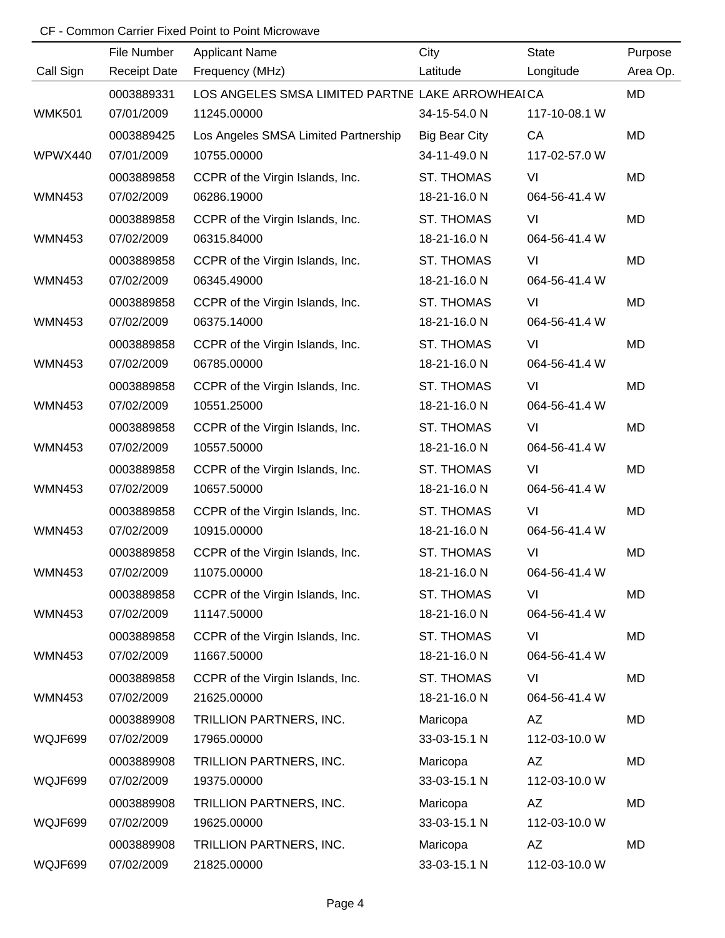|               | File Number         | <b>Applicant Name</b>                            | City                 | <b>State</b>  | Purpose   |
|---------------|---------------------|--------------------------------------------------|----------------------|---------------|-----------|
| Call Sign     | <b>Receipt Date</b> | Frequency (MHz)                                  | Latitude             | Longitude     | Area Op.  |
|               | 0003889331          | LOS ANGELES SMSA LIMITED PARTNE LAKE ARROWHEAICA |                      |               | MD        |
| <b>WMK501</b> | 07/01/2009          | 11245.00000                                      | 34-15-54.0 N         | 117-10-08.1 W |           |
|               | 0003889425          | Los Angeles SMSA Limited Partnership             | <b>Big Bear City</b> | CA            | MD        |
| WPWX440       | 07/01/2009          | 10755.00000                                      | 34-11-49.0 N         | 117-02-57.0 W |           |
|               | 0003889858          | CCPR of the Virgin Islands, Inc.                 | <b>ST. THOMAS</b>    | VI            | MD        |
| <b>WMN453</b> | 07/02/2009          | 06286.19000                                      | 18-21-16.0 N         | 064-56-41.4 W |           |
|               | 0003889858          | CCPR of the Virgin Islands, Inc.                 | <b>ST. THOMAS</b>    | VI            | <b>MD</b> |
| <b>WMN453</b> | 07/02/2009          | 06315.84000                                      | 18-21-16.0 N         | 064-56-41.4 W |           |
|               | 0003889858          | CCPR of the Virgin Islands, Inc.                 | <b>ST. THOMAS</b>    | VI            | <b>MD</b> |
| <b>WMN453</b> | 07/02/2009          | 06345.49000                                      | 18-21-16.0 N         | 064-56-41.4 W |           |
|               | 0003889858          | CCPR of the Virgin Islands, Inc.                 | <b>ST. THOMAS</b>    | VI            | <b>MD</b> |
| <b>WMN453</b> | 07/02/2009          | 06375.14000                                      | 18-21-16.0 N         | 064-56-41.4 W |           |
|               | 0003889858          | CCPR of the Virgin Islands, Inc.                 | <b>ST. THOMAS</b>    | VI            | <b>MD</b> |
| <b>WMN453</b> | 07/02/2009          | 06785.00000                                      | 18-21-16.0 N         | 064-56-41.4 W |           |
|               | 0003889858          | CCPR of the Virgin Islands, Inc.                 | <b>ST. THOMAS</b>    | VI            | <b>MD</b> |
| <b>WMN453</b> | 07/02/2009          | 10551.25000                                      | 18-21-16.0 N         | 064-56-41.4 W |           |
|               | 0003889858          | CCPR of the Virgin Islands, Inc.                 | <b>ST. THOMAS</b>    | VI            | <b>MD</b> |
| <b>WMN453</b> | 07/02/2009          | 10557.50000                                      | 18-21-16.0 N         | 064-56-41.4 W |           |
|               | 0003889858          | CCPR of the Virgin Islands, Inc.                 | <b>ST. THOMAS</b>    | VI            | <b>MD</b> |
| <b>WMN453</b> | 07/02/2009          | 10657.50000                                      | 18-21-16.0 N         | 064-56-41.4 W |           |
|               | 0003889858          | CCPR of the Virgin Islands, Inc.                 | <b>ST. THOMAS</b>    | VI            | <b>MD</b> |
| <b>WMN453</b> | 07/02/2009          | 10915.00000                                      | 18-21-16.0 N         | 064-56-41.4 W |           |
|               | 0003889858          | CCPR of the Virgin Islands, Inc.                 | <b>ST. THOMAS</b>    | VI            | <b>MD</b> |
| <b>WMN453</b> | 07/02/2009          | 11075.00000                                      | 18-21-16.0 N         | 064-56-41.4 W |           |
|               | 0003889858          | CCPR of the Virgin Islands, Inc.                 | <b>ST. THOMAS</b>    | VI            | MD        |
| <b>WMN453</b> | 07/02/2009          | 11147.50000                                      | 18-21-16.0 N         | 064-56-41.4 W |           |
|               | 0003889858          | CCPR of the Virgin Islands, Inc.                 | <b>ST. THOMAS</b>    | VI            | MD        |
| <b>WMN453</b> | 07/02/2009          | 11667.50000                                      | 18-21-16.0 N         | 064-56-41.4 W |           |
|               | 0003889858          | CCPR of the Virgin Islands, Inc.                 | <b>ST. THOMAS</b>    | VI            | MD        |
| <b>WMN453</b> | 07/02/2009          | 21625.00000                                      | 18-21-16.0 N         | 064-56-41.4 W |           |
|               | 0003889908          | TRILLION PARTNERS, INC.                          | Maricopa             | ΑZ            | MD        |
| WQJF699       | 07/02/2009          | 17965.00000                                      | 33-03-15.1 N         | 112-03-10.0 W |           |
|               | 0003889908          | TRILLION PARTNERS, INC.                          | Maricopa             | ΑZ            | MD        |
| WQJF699       | 07/02/2009          | 19375.00000                                      | 33-03-15.1 N         | 112-03-10.0 W |           |
|               | 0003889908          | TRILLION PARTNERS, INC.                          | Maricopa             | AZ            | MD        |
| WQJF699       | 07/02/2009          | 19625.00000                                      | 33-03-15.1 N         | 112-03-10.0 W |           |
|               | 0003889908          | TRILLION PARTNERS, INC.                          | Maricopa             | AZ            | MD        |
| WQJF699       | 07/02/2009          | 21825.00000                                      | 33-03-15.1 N         | 112-03-10.0 W |           |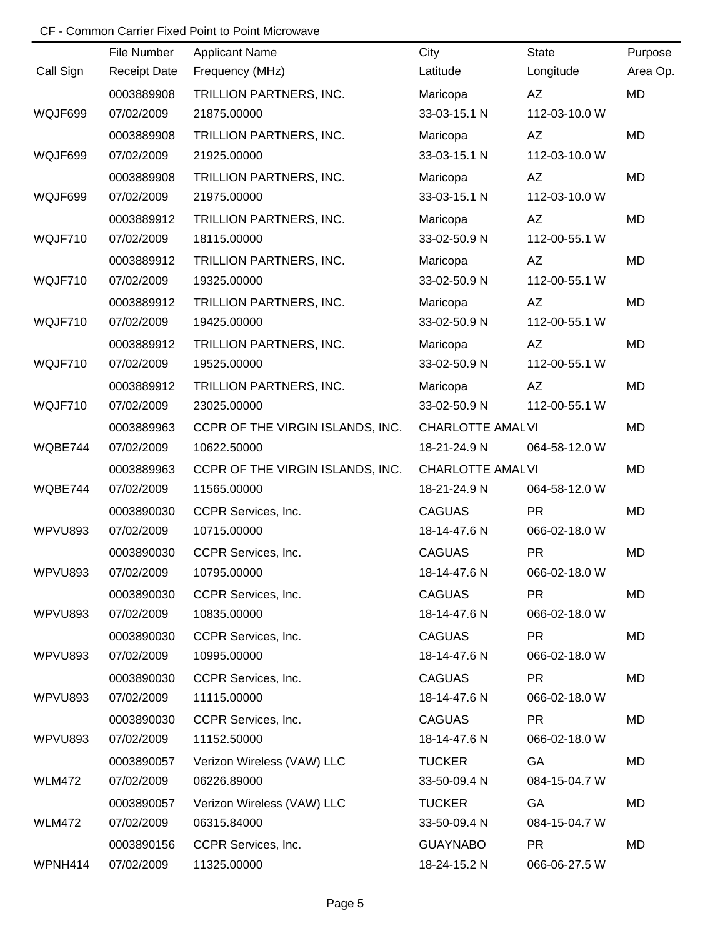|               | File Number         | <b>Applicant Name</b>            | City                     | <b>State</b>  | Purpose   |
|---------------|---------------------|----------------------------------|--------------------------|---------------|-----------|
| Call Sign     | <b>Receipt Date</b> | Frequency (MHz)                  | Latitude                 | Longitude     | Area Op.  |
|               | 0003889908          | TRILLION PARTNERS, INC.          | Maricopa                 | AZ            | MD        |
| WQJF699       | 07/02/2009          | 21875.00000                      | 33-03-15.1 N             | 112-03-10.0 W |           |
|               | 0003889908          | TRILLION PARTNERS, INC.          | Maricopa                 | AZ            | MD        |
| WQJF699       | 07/02/2009          | 21925.00000                      | 33-03-15.1 N             | 112-03-10.0 W |           |
|               | 0003889908          | TRILLION PARTNERS, INC.          | Maricopa                 | AZ            | MD        |
| WQJF699       | 07/02/2009          | 21975.00000                      | 33-03-15.1 N             | 112-03-10.0 W |           |
|               | 0003889912          | TRILLION PARTNERS, INC.          | Maricopa                 | AZ            | <b>MD</b> |
| WQJF710       | 07/02/2009          | 18115.00000                      | 33-02-50.9 N             | 112-00-55.1 W |           |
|               | 0003889912          | TRILLION PARTNERS, INC.          | Maricopa                 | AZ            | MD        |
| WQJF710       | 07/02/2009          | 19325.00000                      | 33-02-50.9 N             | 112-00-55.1 W |           |
|               | 0003889912          | TRILLION PARTNERS, INC.          | Maricopa                 | AZ            | <b>MD</b> |
| WQJF710       | 07/02/2009          | 19425.00000                      | 33-02-50.9 N             | 112-00-55.1 W |           |
|               | 0003889912          | TRILLION PARTNERS, INC.          | Maricopa                 | AZ            | <b>MD</b> |
| WQJF710       | 07/02/2009          | 19525.00000                      | 33-02-50.9 N             | 112-00-55.1 W |           |
|               | 0003889912          | TRILLION PARTNERS, INC.          | Maricopa                 | AZ            | <b>MD</b> |
| WQJF710       | 07/02/2009          | 23025.00000                      | 33-02-50.9 N             | 112-00-55.1 W |           |
|               | 0003889963          | CCPR OF THE VIRGIN ISLANDS, INC. | <b>CHARLOTTE AMAL VI</b> |               | MD        |
| WQBE744       | 07/02/2009          | 10622.50000                      | 18-21-24.9 N             | 064-58-12.0 W |           |
|               | 0003889963          | CCPR OF THE VIRGIN ISLANDS, INC. | <b>CHARLOTTE AMAL VI</b> |               | <b>MD</b> |
| WQBE744       | 07/02/2009          | 11565.00000                      | 18-21-24.9 N             | 064-58-12.0 W |           |
|               | 0003890030          | CCPR Services, Inc.              | <b>CAGUAS</b>            | <b>PR</b>     | <b>MD</b> |
| WPVU893       | 07/02/2009          | 10715.00000                      | 18-14-47.6 N             | 066-02-18.0 W |           |
|               | 0003890030          | CCPR Services, Inc.              | <b>CAGUAS</b>            | <b>PR</b>     | <b>MD</b> |
| WPVU893       | 07/02/2009          | 10795.00000                      | 18-14-47.6 N             | 066-02-18.0 W |           |
|               | 0003890030          | CCPR Services, Inc.              | <b>CAGUAS</b>            | <b>PR</b>     | MD        |
| WPVU893       | 07/02/2009          | 10835.00000                      | 18-14-47.6 N             | 066-02-18.0 W |           |
|               | 0003890030          | CCPR Services, Inc.              | <b>CAGUAS</b>            | <b>PR</b>     | MD        |
| WPVU893       | 07/02/2009          | 10995.00000                      | 18-14-47.6 N             | 066-02-18.0 W |           |
|               | 0003890030          | CCPR Services, Inc.              | <b>CAGUAS</b>            | <b>PR</b>     | MD        |
| WPVU893       | 07/02/2009          | 11115.00000                      | 18-14-47.6 N             | 066-02-18.0 W |           |
|               | 0003890030          | CCPR Services, Inc.              | <b>CAGUAS</b>            | <b>PR</b>     | MD        |
| WPVU893       | 07/02/2009          | 11152.50000                      | 18-14-47.6 N             | 066-02-18.0 W |           |
|               | 0003890057          | Verizon Wireless (VAW) LLC       | <b>TUCKER</b>            | GA            | MD        |
| <b>WLM472</b> | 07/02/2009          | 06226.89000                      | 33-50-09.4 N             | 084-15-04.7 W |           |
|               | 0003890057          | Verizon Wireless (VAW) LLC       | <b>TUCKER</b>            | GA            | MD        |
| <b>WLM472</b> | 07/02/2009          | 06315.84000                      | 33-50-09.4 N             | 084-15-04.7 W |           |
|               | 0003890156          | CCPR Services, Inc.              | <b>GUAYNABO</b>          | <b>PR</b>     | MD        |
| WPNH414       | 07/02/2009          | 11325.00000                      | 18-24-15.2 N             | 066-06-27.5 W |           |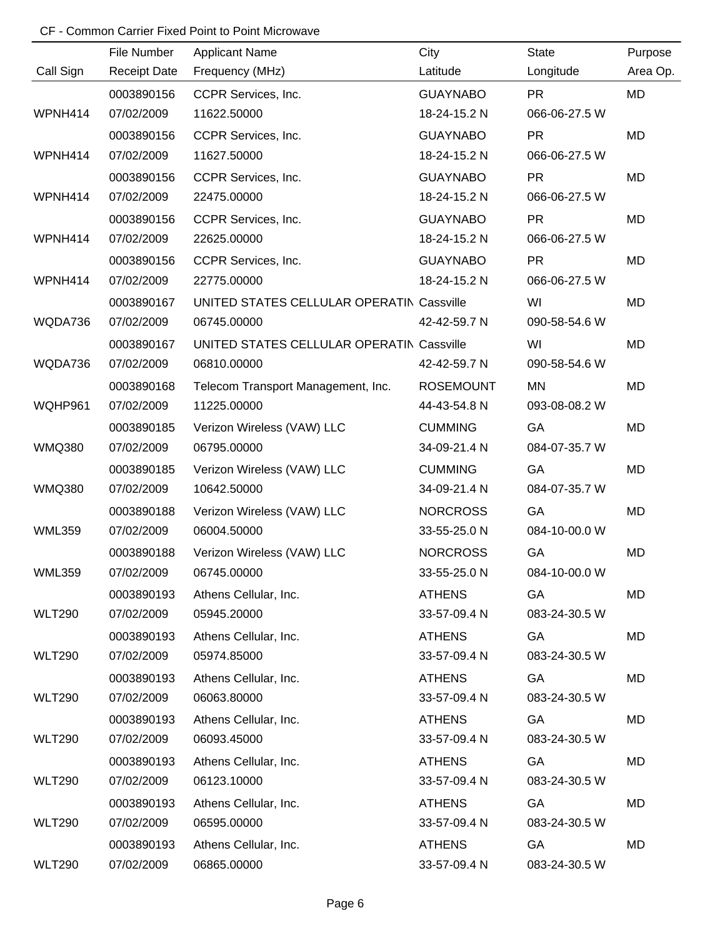|               | File Number         | <b>Applicant Name</b>                     | City             | <b>State</b>  | Purpose   |
|---------------|---------------------|-------------------------------------------|------------------|---------------|-----------|
| Call Sign     | <b>Receipt Date</b> | Frequency (MHz)                           | Latitude         | Longitude     | Area Op.  |
|               | 0003890156          | CCPR Services, Inc.                       | <b>GUAYNABO</b>  | <b>PR</b>     | <b>MD</b> |
| WPNH414       | 07/02/2009          | 11622.50000                               | 18-24-15.2 N     | 066-06-27.5 W |           |
|               | 0003890156          | CCPR Services, Inc.                       | <b>GUAYNABO</b>  | <b>PR</b>     | <b>MD</b> |
| WPNH414       | 07/02/2009          | 11627.50000                               | 18-24-15.2 N     | 066-06-27.5 W |           |
|               | 0003890156          | CCPR Services, Inc.                       | <b>GUAYNABO</b>  | <b>PR</b>     | MD        |
| WPNH414       | 07/02/2009          | 22475.00000                               | 18-24-15.2 N     | 066-06-27.5 W |           |
|               | 0003890156          | CCPR Services, Inc.                       | <b>GUAYNABO</b>  | <b>PR</b>     | <b>MD</b> |
| WPNH414       | 07/02/2009          | 22625.00000                               | 18-24-15.2 N     | 066-06-27.5 W |           |
|               | 0003890156          | CCPR Services, Inc.                       | <b>GUAYNABO</b>  | <b>PR</b>     | MD        |
| WPNH414       | 07/02/2009          | 22775.00000                               | 18-24-15.2 N     | 066-06-27.5 W |           |
|               | 0003890167          | UNITED STATES CELLULAR OPERATIN Cassville |                  | WI            | MD        |
| WQDA736       | 07/02/2009          | 06745.00000                               | 42-42-59.7 N     | 090-58-54.6 W |           |
|               | 0003890167          | UNITED STATES CELLULAR OPERATIN Cassville |                  | WI            | MD        |
| WQDA736       | 07/02/2009          | 06810.00000                               | 42-42-59.7 N     | 090-58-54.6 W |           |
|               | 0003890168          | Telecom Transport Management, Inc.        | <b>ROSEMOUNT</b> | MN            | MD        |
| WQHP961       | 07/02/2009          | 11225.00000                               | 44-43-54.8 N     | 093-08-08.2 W |           |
|               | 0003890185          | Verizon Wireless (VAW) LLC                | <b>CUMMING</b>   | GA            | MD        |
| <b>WMQ380</b> | 07/02/2009          | 06795.00000                               | 34-09-21.4 N     | 084-07-35.7 W |           |
|               | 0003890185          | Verizon Wireless (VAW) LLC                | <b>CUMMING</b>   | GA            | MD        |
| <b>WMQ380</b> | 07/02/2009          | 10642.50000                               | 34-09-21.4 N     | 084-07-35.7 W |           |
|               | 0003890188          | Verizon Wireless (VAW) LLC                | <b>NORCROSS</b>  | GA            | MD        |
| <b>WML359</b> | 07/02/2009          | 06004.50000                               | 33-55-25.0 N     | 084-10-00.0 W |           |
|               | 0003890188          | Verizon Wireless (VAW) LLC                | <b>NORCROSS</b>  | GA            | MD        |
| <b>WML359</b> | 07/02/2009          | 06745.00000                               | 33-55-25.0 N     | 084-10-00.0 W |           |
|               | 0003890193          | Athens Cellular, Inc.                     | <b>ATHENS</b>    | GA            | MD        |
| <b>WLT290</b> | 07/02/2009          | 05945.20000                               | 33-57-09.4 N     | 083-24-30.5 W |           |
|               | 0003890193          | Athens Cellular, Inc.                     | <b>ATHENS</b>    | GA            | MD        |
| <b>WLT290</b> | 07/02/2009          | 05974.85000                               | 33-57-09.4 N     | 083-24-30.5 W |           |
|               | 0003890193          | Athens Cellular, Inc.                     | <b>ATHENS</b>    | GA            | MD        |
| <b>WLT290</b> | 07/02/2009          | 06063.80000                               | 33-57-09.4 N     | 083-24-30.5 W |           |
|               | 0003890193          | Athens Cellular, Inc.                     | <b>ATHENS</b>    | GA            | MD        |
| <b>WLT290</b> | 07/02/2009          | 06093.45000                               | 33-57-09.4 N     | 083-24-30.5 W |           |
|               | 0003890193          | Athens Cellular, Inc.                     | <b>ATHENS</b>    | GA            | MD        |
| <b>WLT290</b> | 07/02/2009          | 06123.10000                               | 33-57-09.4 N     | 083-24-30.5 W |           |
|               | 0003890193          | Athens Cellular, Inc.                     | <b>ATHENS</b>    | GA            | MD        |
| <b>WLT290</b> | 07/02/2009          | 06595.00000                               | 33-57-09.4 N     | 083-24-30.5 W |           |
|               | 0003890193          | Athens Cellular, Inc.                     | <b>ATHENS</b>    | GA            | MD        |
| <b>WLT290</b> | 07/02/2009          | 06865.00000                               | 33-57-09.4 N     | 083-24-30.5 W |           |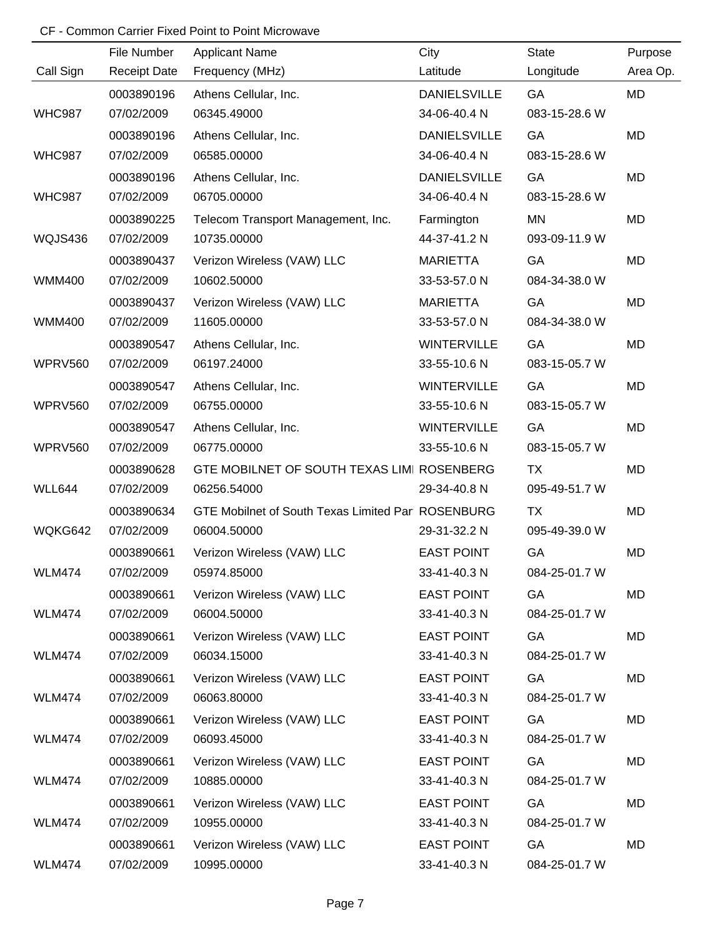|                | File Number         | <b>Applicant Name</b>                             | City                | <b>State</b>  | Purpose   |
|----------------|---------------------|---------------------------------------------------|---------------------|---------------|-----------|
| Call Sign      | <b>Receipt Date</b> | Frequency (MHz)                                   | Latitude            | Longitude     | Area Op.  |
|                | 0003890196          | Athens Cellular, Inc.                             | <b>DANIELSVILLE</b> | GA            | <b>MD</b> |
| <b>WHC987</b>  | 07/02/2009          | 06345.49000                                       | 34-06-40.4 N        | 083-15-28.6 W |           |
|                | 0003890196          | Athens Cellular, Inc.                             | <b>DANIELSVILLE</b> | GA            | <b>MD</b> |
| <b>WHC987</b>  | 07/02/2009          | 06585.00000                                       | 34-06-40.4 N        | 083-15-28.6 W |           |
|                | 0003890196          | Athens Cellular, Inc.                             | <b>DANIELSVILLE</b> | GA            | <b>MD</b> |
| <b>WHC987</b>  | 07/02/2009          | 06705.00000                                       | 34-06-40.4 N        | 083-15-28.6 W |           |
|                | 0003890225          | Telecom Transport Management, Inc.                | Farmington          | MN            | MD        |
| WQJS436        | 07/02/2009          | 10735.00000                                       | 44-37-41.2 N        | 093-09-11.9 W |           |
|                | 0003890437          | Verizon Wireless (VAW) LLC                        | <b>MARIETTA</b>     | GA            | MD        |
| <b>WMM400</b>  | 07/02/2009          | 10602.50000                                       | 33-53-57.0 N        | 084-34-38.0 W |           |
|                | 0003890437          | Verizon Wireless (VAW) LLC                        | <b>MARIETTA</b>     | GA            | MD        |
| <b>WMM400</b>  | 07/02/2009          | 11605.00000                                       | 33-53-57.0 N        | 084-34-38.0 W |           |
|                | 0003890547          | Athens Cellular, Inc.                             | <b>WINTERVILLE</b>  | GA            | MD        |
| WPRV560        | 07/02/2009          | 06197.24000                                       | 33-55-10.6 N        | 083-15-05.7 W |           |
|                | 0003890547          | Athens Cellular, Inc.                             | <b>WINTERVILLE</b>  | GA            | MD        |
| WPRV560        | 07/02/2009          | 06755.00000                                       | 33-55-10.6 N        | 083-15-05.7 W |           |
|                | 0003890547          | Athens Cellular, Inc.                             | <b>WINTERVILLE</b>  | GA            | MD        |
| <b>WPRV560</b> | 07/02/2009          | 06775.00000                                       | 33-55-10.6 N        | 083-15-05.7 W |           |
|                | 0003890628          | GTE MOBILNET OF SOUTH TEXAS LIMI ROSENBERG        |                     | <b>TX</b>     | MD        |
| WLL644         | 07/02/2009          | 06256.54000                                       | 29-34-40.8 N        | 095-49-51.7 W |           |
|                | 0003890634          | GTE Mobilnet of South Texas Limited Par ROSENBURG |                     | <b>TX</b>     | MD        |
| WQKG642        | 07/02/2009          | 06004.50000                                       | 29-31-32.2 N        | 095-49-39.0 W |           |
|                | 0003890661          | Verizon Wireless (VAW) LLC                        | <b>EAST POINT</b>   | GA            | MD        |
| <b>WLM474</b>  | 07/02/2009          | 05974.85000                                       | 33-41-40.3 N        | 084-25-01.7 W |           |
|                | 0003890661          | Verizon Wireless (VAW) LLC                        | <b>EAST POINT</b>   | GA            | MD        |
| <b>WLM474</b>  | 07/02/2009          | 06004.50000                                       | 33-41-40.3 N        | 084-25-01.7 W |           |
|                | 0003890661          | Verizon Wireless (VAW) LLC                        | <b>EAST POINT</b>   | GA            | MD        |
| <b>WLM474</b>  | 07/02/2009          | 06034.15000                                       | 33-41-40.3 N        | 084-25-01.7 W |           |
|                | 0003890661          | Verizon Wireless (VAW) LLC                        | <b>EAST POINT</b>   | GA            | MD        |
| <b>WLM474</b>  | 07/02/2009          | 06063.80000                                       | 33-41-40.3 N        | 084-25-01.7 W |           |
|                | 0003890661          | Verizon Wireless (VAW) LLC                        | <b>EAST POINT</b>   | GA            | MD        |
| <b>WLM474</b>  | 07/02/2009          | 06093.45000                                       | 33-41-40.3 N        | 084-25-01.7 W |           |
|                | 0003890661          | Verizon Wireless (VAW) LLC                        | <b>EAST POINT</b>   | GA            | MD        |
| <b>WLM474</b>  | 07/02/2009          | 10885.00000                                       | 33-41-40.3 N        | 084-25-01.7 W |           |
|                | 0003890661          | Verizon Wireless (VAW) LLC                        | <b>EAST POINT</b>   | GA            | MD        |
| <b>WLM474</b>  | 07/02/2009          | 10955.00000                                       | 33-41-40.3 N        | 084-25-01.7 W |           |
|                | 0003890661          | Verizon Wireless (VAW) LLC                        | <b>EAST POINT</b>   | GA            | MD        |
| <b>WLM474</b>  | 07/02/2009          | 10995.00000                                       | 33-41-40.3 N        | 084-25-01.7 W |           |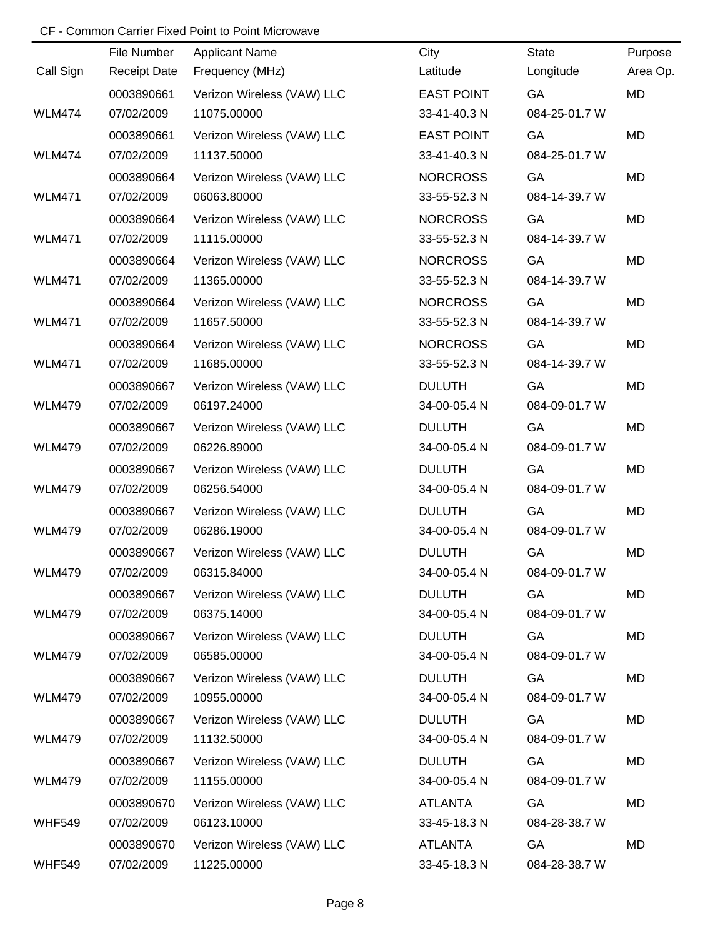|               | File Number         | <b>Applicant Name</b>      | City              | <b>State</b>  | Purpose  |
|---------------|---------------------|----------------------------|-------------------|---------------|----------|
| Call Sign     | <b>Receipt Date</b> | Frequency (MHz)            | Latitude          | Longitude     | Area Op. |
|               | 0003890661          | Verizon Wireless (VAW) LLC | <b>EAST POINT</b> | GA            | MD       |
| <b>WLM474</b> | 07/02/2009          | 11075.00000                | 33-41-40.3 N      | 084-25-01.7 W |          |
|               | 0003890661          | Verizon Wireless (VAW) LLC | <b>EAST POINT</b> | GA            | MD       |
| <b>WLM474</b> | 07/02/2009          | 11137.50000                | 33-41-40.3 N      | 084-25-01.7 W |          |
|               | 0003890664          | Verizon Wireless (VAW) LLC | <b>NORCROSS</b>   | GA            | MD       |
| <b>WLM471</b> | 07/02/2009          | 06063.80000                | 33-55-52.3 N      | 084-14-39.7 W |          |
|               | 0003890664          | Verizon Wireless (VAW) LLC | <b>NORCROSS</b>   | GA            | MD       |
| <b>WLM471</b> | 07/02/2009          | 11115.00000                | 33-55-52.3 N      | 084-14-39.7 W |          |
|               | 0003890664          | Verizon Wireless (VAW) LLC | <b>NORCROSS</b>   | GA            | MD       |
| <b>WLM471</b> | 07/02/2009          | 11365.00000                | 33-55-52.3 N      | 084-14-39.7 W |          |
|               | 0003890664          | Verizon Wireless (VAW) LLC | <b>NORCROSS</b>   | GA            | MD       |
| <b>WLM471</b> | 07/02/2009          | 11657.50000                | 33-55-52.3 N      | 084-14-39.7 W |          |
|               | 0003890664          | Verizon Wireless (VAW) LLC | <b>NORCROSS</b>   | GA            | MD       |
| <b>WLM471</b> | 07/02/2009          | 11685.00000                | 33-55-52.3 N      | 084-14-39.7 W |          |
|               | 0003890667          | Verizon Wireless (VAW) LLC | <b>DULUTH</b>     | GA            | MD       |
| <b>WLM479</b> | 07/02/2009          | 06197.24000                | 34-00-05.4 N      | 084-09-01.7 W |          |
|               | 0003890667          | Verizon Wireless (VAW) LLC | <b>DULUTH</b>     | GA            | MD       |
| <b>WLM479</b> | 07/02/2009          | 06226.89000                | 34-00-05.4 N      | 084-09-01.7 W |          |
|               | 0003890667          | Verizon Wireless (VAW) LLC | <b>DULUTH</b>     | GA            | MD       |
| <b>WLM479</b> | 07/02/2009          | 06256.54000                | 34-00-05.4 N      | 084-09-01.7 W |          |
|               | 0003890667          | Verizon Wireless (VAW) LLC | <b>DULUTH</b>     | GA            | MD       |
| <b>WLM479</b> | 07/02/2009          | 06286.19000                | 34-00-05.4 N      | 084-09-01.7 W |          |
|               | 0003890667          | Verizon Wireless (VAW) LLC | <b>DULUTH</b>     | GA            | MD       |
| <b>WLM479</b> | 07/02/2009          | 06315.84000                | 34-00-05.4 N      | 084-09-01.7 W |          |
|               | 0003890667          | Verizon Wireless (VAW) LLC | <b>DULUTH</b>     | GA            | MD       |
| <b>WLM479</b> | 07/02/2009          | 06375.14000                | 34-00-05.4 N      | 084-09-01.7 W |          |
|               | 0003890667          | Verizon Wireless (VAW) LLC | <b>DULUTH</b>     | GA            | MD       |
| <b>WLM479</b> | 07/02/2009          | 06585.00000                | 34-00-05.4 N      | 084-09-01.7 W |          |
|               | 0003890667          | Verizon Wireless (VAW) LLC | <b>DULUTH</b>     | GA            | MD       |
| <b>WLM479</b> | 07/02/2009          | 10955.00000                | 34-00-05.4 N      | 084-09-01.7 W |          |
|               | 0003890667          | Verizon Wireless (VAW) LLC | <b>DULUTH</b>     | GA            | MD       |
| <b>WLM479</b> | 07/02/2009          | 11132.50000                | 34-00-05.4 N      | 084-09-01.7 W |          |
|               | 0003890667          | Verizon Wireless (VAW) LLC | <b>DULUTH</b>     | GA            | MD       |
| <b>WLM479</b> | 07/02/2009          | 11155.00000                | 34-00-05.4 N      | 084-09-01.7 W |          |
|               | 0003890670          | Verizon Wireless (VAW) LLC | <b>ATLANTA</b>    | GA            | MD       |
| <b>WHF549</b> | 07/02/2009          | 06123.10000                | 33-45-18.3 N      | 084-28-38.7 W |          |
|               | 0003890670          | Verizon Wireless (VAW) LLC | <b>ATLANTA</b>    | GA            | MD       |
| <b>WHF549</b> | 07/02/2009          | 11225.00000                | 33-45-18.3 N      | 084-28-38.7 W |          |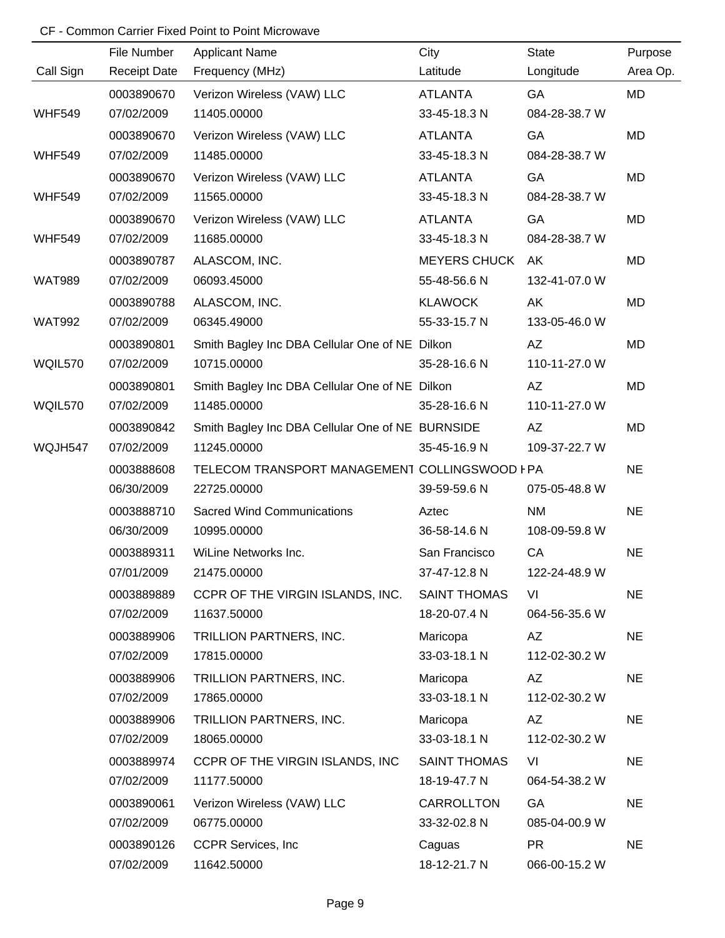|               | File Number         | <b>Applicant Name</b>                            | City                | <b>State</b>  | Purpose   |
|---------------|---------------------|--------------------------------------------------|---------------------|---------------|-----------|
| Call Sign     | <b>Receipt Date</b> | Frequency (MHz)                                  | Latitude            | Longitude     | Area Op.  |
|               | 0003890670          | Verizon Wireless (VAW) LLC                       | <b>ATLANTA</b>      | GA            | <b>MD</b> |
| <b>WHF549</b> | 07/02/2009          | 11405.00000                                      | 33-45-18.3 N        | 084-28-38.7 W |           |
|               | 0003890670          | Verizon Wireless (VAW) LLC                       | <b>ATLANTA</b>      | GA            | MD        |
| <b>WHF549</b> | 07/02/2009          | 11485.00000                                      | 33-45-18.3 N        | 084-28-38.7 W |           |
|               | 0003890670          | Verizon Wireless (VAW) LLC                       | <b>ATLANTA</b>      | GA            | MD        |
| <b>WHF549</b> | 07/02/2009          | 11565.00000                                      | 33-45-18.3 N        | 084-28-38.7 W |           |
|               | 0003890670          | Verizon Wireless (VAW) LLC                       | <b>ATLANTA</b>      | GA            | MD        |
| <b>WHF549</b> | 07/02/2009          | 11685.00000                                      | 33-45-18.3 N        | 084-28-38.7 W |           |
|               | 0003890787          | ALASCOM, INC.                                    | <b>MEYERS CHUCK</b> | AK            | MD        |
| <b>WAT989</b> | 07/02/2009          | 06093.45000                                      | 55-48-56.6 N        | 132-41-07.0 W |           |
|               | 0003890788          | ALASCOM, INC.                                    | <b>KLAWOCK</b>      | AK            | MD        |
| <b>WAT992</b> | 07/02/2009          | 06345.49000                                      | 55-33-15.7 N        | 133-05-46.0 W |           |
|               | 0003890801          | Smith Bagley Inc DBA Cellular One of NE Dilkon   |                     | AZ            | MD        |
| WQIL570       | 07/02/2009          | 10715.00000                                      | 35-28-16.6 N        | 110-11-27.0 W |           |
|               | 0003890801          | Smith Bagley Inc DBA Cellular One of NE Dilkon   |                     | AZ            | MD        |
| WQIL570       | 07/02/2009          | 11485.00000                                      | 35-28-16.6 N        | 110-11-27.0 W |           |
|               | 0003890842          | Smith Bagley Inc DBA Cellular One of NE BURNSIDE |                     | AZ            | MD        |
| WQJH547       | 07/02/2009          | 11245.00000                                      | 35-45-16.9 N        | 109-37-22.7 W |           |
|               | 0003888608          | TELECOM TRANSPORT MANAGEMENT COLLINGSWOOD I PA   |                     |               | <b>NE</b> |
|               | 06/30/2009          | 22725.00000                                      | 39-59-59.6 N        | 075-05-48.8 W |           |
|               | 0003888710          | <b>Sacred Wind Communications</b>                | Aztec               | <b>NM</b>     | <b>NE</b> |
|               | 06/30/2009          | 10995.00000                                      | 36-58-14.6 N        | 108-09-59.8 W |           |
|               | 0003889311          | WiLine Networks Inc.                             | San Francisco       | CA            | <b>NE</b> |
|               | 07/01/2009          | 21475.00000                                      | 37-47-12.8 N        | 122-24-48.9 W |           |
|               | 0003889889          | CCPR OF THE VIRGIN ISLANDS, INC.                 | <b>SAINT THOMAS</b> | VI            | <b>NE</b> |
|               | 07/02/2009          | 11637.50000                                      | 18-20-07.4 N        | 064-56-35.6 W |           |
|               | 0003889906          | TRILLION PARTNERS, INC.                          | Maricopa            | AZ            | <b>NE</b> |
|               | 07/02/2009          | 17815.00000                                      | 33-03-18.1 N        | 112-02-30.2 W |           |
|               | 0003889906          | TRILLION PARTNERS, INC.                          | Maricopa            | AZ            | <b>NE</b> |
|               | 07/02/2009          | 17865.00000                                      | 33-03-18.1 N        | 112-02-30.2 W |           |
|               | 0003889906          | TRILLION PARTNERS, INC.                          | Maricopa            | AZ            | <b>NE</b> |
|               | 07/02/2009          | 18065.00000                                      | 33-03-18.1 N        | 112-02-30.2 W |           |
|               | 0003889974          | CCPR OF THE VIRGIN ISLANDS, INC                  | <b>SAINT THOMAS</b> | VI            | <b>NE</b> |
|               | 07/02/2009          | 11177.50000                                      | 18-19-47.7 N        | 064-54-38.2 W |           |
|               | 0003890061          | Verizon Wireless (VAW) LLC                       | CARROLLTON          | GA            | <b>NE</b> |
|               | 07/02/2009          | 06775.00000                                      | 33-32-02.8 N        | 085-04-00.9 W |           |
|               | 0003890126          | <b>CCPR Services, Inc.</b>                       | Caguas              | <b>PR</b>     | <b>NE</b> |
|               | 07/02/2009          | 11642.50000                                      | 18-12-21.7 N        | 066-00-15.2 W |           |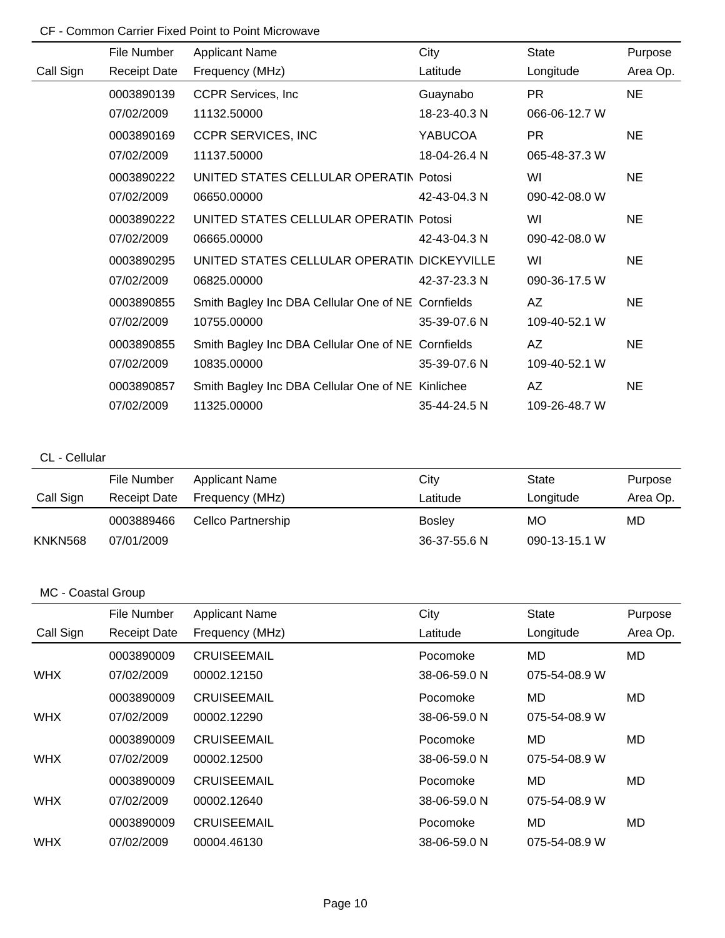|           | File Number         | <b>Applicant Name</b>                              | City           | State         | Purpose   |
|-----------|---------------------|----------------------------------------------------|----------------|---------------|-----------|
| Call Sign | <b>Receipt Date</b> | Frequency (MHz)                                    | Latitude       | Longitude     | Area Op.  |
|           | 0003890139          | <b>CCPR Services, Inc.</b>                         | Guaynabo       | PR.           | <b>NE</b> |
|           | 07/02/2009          | 11132.50000                                        | 18-23-40.3 N   | 066-06-12.7 W |           |
|           | 0003890169          | <b>CCPR SERVICES, INC</b>                          | <b>YABUCOA</b> | <b>PR</b>     | <b>NE</b> |
|           | 07/02/2009          | 11137.50000                                        | 18-04-26.4 N   | 065-48-37.3 W |           |
|           | 0003890222          | UNITED STATES CELLULAR OPERATIN Potosi             |                | WI            | <b>NE</b> |
|           | 07/02/2009          | 06650.00000                                        | 42-43-04.3 N   | 090-42-08.0 W |           |
|           | 0003890222          | UNITED STATES CELLULAR OPERATIN Potosi             |                | WI            | <b>NE</b> |
|           | 07/02/2009          | 06665.00000                                        | 42-43-04.3 N   | 090-42-08.0 W |           |
|           | 0003890295          | UNITED STATES CELLULAR OPERATIN DICKEYVILLE        |                | WI            | <b>NE</b> |
|           | 07/02/2009          | 06825.00000                                        | 42-37-23.3 N   | 090-36-17.5 W |           |
|           | 0003890855          | Smith Bagley Inc DBA Cellular One of NE Cornfields |                | AZ            | <b>NE</b> |
|           | 07/02/2009          | 10755.00000                                        | 35-39-07.6 N   | 109-40-52.1 W |           |
|           | 0003890855          | Smith Bagley Inc DBA Cellular One of NE Cornfields |                | AZ            | <b>NE</b> |
|           | 07/02/2009          | 10835.00000                                        | 35-39-07.6 N   | 109-40-52.1 W |           |
|           | 0003890857          | Smith Bagley Inc DBA Cellular One of NE Kinlichee  |                | AZ            | <b>NE</b> |
|           | 07/02/2009          | 11325.00000                                        | 35-44-24.5 N   | 109-26-48.7 W |           |

### CL - Cellular

|           | File Number         | <b>Applicant Name</b> | City          | State         | Purpose  |
|-----------|---------------------|-----------------------|---------------|---------------|----------|
| Call Sign | <b>Receipt Date</b> | Frequency (MHz)       | Latitude      | Longitude     | Area Op. |
|           | 0003889466          | Cellco Partnership    | <b>Bosley</b> | MO            | MD       |
| KNKN568   | 07/01/2009          |                       | 36-37-55.6 N  | 090-13-15.1 W |          |

|            | File Number         | <b>Applicant Name</b> | City         | <b>State</b>  | Purpose  |
|------------|---------------------|-----------------------|--------------|---------------|----------|
| Call Sign  | <b>Receipt Date</b> | Frequency (MHz)       | Latitude     | Longitude     | Area Op. |
|            | 0003890009          | <b>CRUISEEMAIL</b>    | Pocomoke     | MD            | MD.      |
| <b>WHX</b> | 07/02/2009          | 00002.12150           | 38-06-59.0 N | 075-54-08.9 W |          |
|            | 0003890009          | <b>CRUISEEMAIL</b>    | Pocomoke     | MD            | MD.      |
| <b>WHX</b> | 07/02/2009          | 00002.12290           | 38-06-59.0 N | 075-54-08.9 W |          |
|            | 0003890009          | <b>CRUISEEMAIL</b>    | Pocomoke     | MD            | MD.      |
| <b>WHX</b> | 07/02/2009          | 00002.12500           | 38-06-59.0 N | 075-54-08.9 W |          |
|            | 0003890009          | <b>CRUISEEMAIL</b>    | Pocomoke     | MD            | MD       |
| <b>WHX</b> | 07/02/2009          | 00002.12640           | 38-06-59.0 N | 075-54-08.9 W |          |
|            | 0003890009          | <b>CRUISEEMAIL</b>    | Pocomoke     | MD            | MD       |
| <b>WHX</b> | 07/02/2009          | 00004.46130           | 38-06-59.0 N | 075-54-08.9 W |          |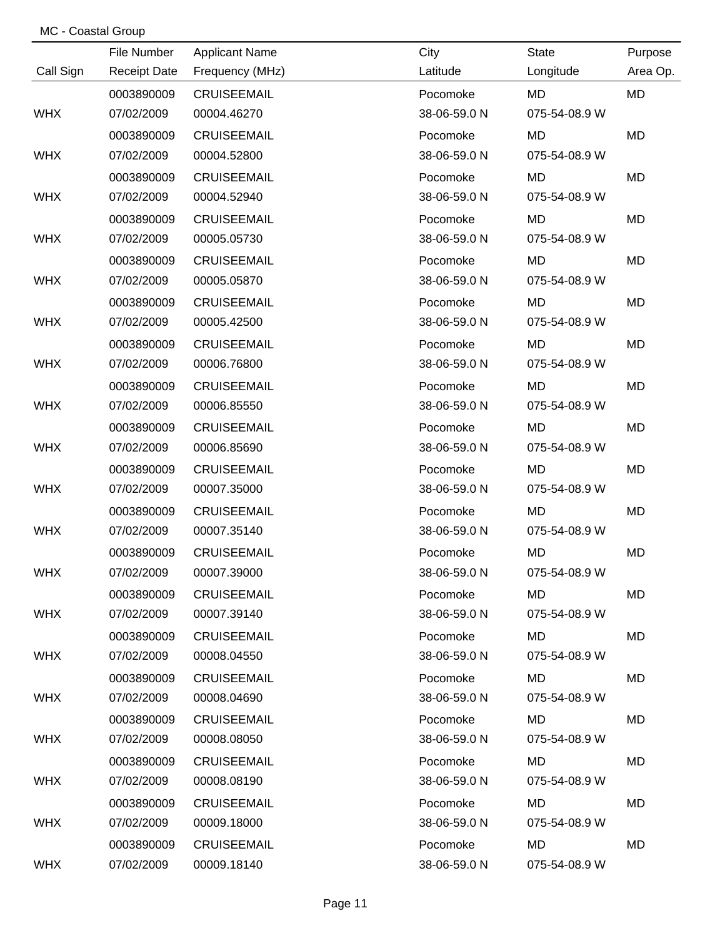|            | File Number         | <b>Applicant Name</b> | City         | <b>State</b>  | Purpose   |
|------------|---------------------|-----------------------|--------------|---------------|-----------|
| Call Sign  | <b>Receipt Date</b> | Frequency (MHz)       | Latitude     | Longitude     | Area Op.  |
|            | 0003890009          | <b>CRUISEEMAIL</b>    | Pocomoke     | <b>MD</b>     | <b>MD</b> |
| <b>WHX</b> | 07/02/2009          | 00004.46270           | 38-06-59.0 N | 075-54-08.9 W |           |
|            | 0003890009          | <b>CRUISEEMAIL</b>    | Pocomoke     | MD            | <b>MD</b> |
| <b>WHX</b> | 07/02/2009          | 00004.52800           | 38-06-59.0 N | 075-54-08.9 W |           |
|            | 0003890009          | <b>CRUISEEMAIL</b>    | Pocomoke     | <b>MD</b>     | <b>MD</b> |
| <b>WHX</b> | 07/02/2009          | 00004.52940           | 38-06-59.0 N | 075-54-08.9 W |           |
|            | 0003890009          | <b>CRUISEEMAIL</b>    | Pocomoke     | <b>MD</b>     | <b>MD</b> |
| <b>WHX</b> | 07/02/2009          | 00005.05730           | 38-06-59.0 N | 075-54-08.9 W |           |
|            | 0003890009          | <b>CRUISEEMAIL</b>    | Pocomoke     | <b>MD</b>     | <b>MD</b> |
| <b>WHX</b> | 07/02/2009          | 00005.05870           | 38-06-59.0 N | 075-54-08.9 W |           |
|            | 0003890009          | <b>CRUISEEMAIL</b>    | Pocomoke     | <b>MD</b>     | <b>MD</b> |
| <b>WHX</b> | 07/02/2009          | 00005.42500           | 38-06-59.0 N | 075-54-08.9 W |           |
|            | 0003890009          | <b>CRUISEEMAIL</b>    | Pocomoke     | <b>MD</b>     | <b>MD</b> |
| <b>WHX</b> | 07/02/2009          | 00006.76800           | 38-06-59.0 N | 075-54-08.9 W |           |
|            | 0003890009          | <b>CRUISEEMAIL</b>    | Pocomoke     | <b>MD</b>     | <b>MD</b> |
| <b>WHX</b> | 07/02/2009          | 00006.85550           | 38-06-59.0 N | 075-54-08.9 W |           |
|            | 0003890009          | <b>CRUISEEMAIL</b>    | Pocomoke     | <b>MD</b>     | <b>MD</b> |
| <b>WHX</b> | 07/02/2009          | 00006.85690           | 38-06-59.0 N | 075-54-08.9 W |           |
|            | 0003890009          | <b>CRUISEEMAIL</b>    | Pocomoke     | <b>MD</b>     | <b>MD</b> |
| <b>WHX</b> | 07/02/2009          | 00007.35000           | 38-06-59.0 N | 075-54-08.9 W |           |
|            | 0003890009          | <b>CRUISEEMAIL</b>    | Pocomoke     | <b>MD</b>     | <b>MD</b> |
| <b>WHX</b> | 07/02/2009          | 00007.35140           | 38-06-59.0 N | 075-54-08.9 W |           |
|            | 0003890009          | <b>CRUISEEMAIL</b>    | Pocomoke     | <b>MD</b>     | <b>MD</b> |
| <b>WHX</b> | 07/02/2009          | 00007.39000           | 38-06-59.0 N | 075-54-08.9 W |           |
|            | 0003890009          | <b>CRUISEEMAIL</b>    | Pocomoke     | MD.           | MD        |
| <b>WHX</b> | 07/02/2009          | 00007.39140           | 38-06-59.0 N | 075-54-08.9 W |           |
|            | 0003890009          | <b>CRUISEEMAIL</b>    | Pocomoke     | MD.           | MD        |
| <b>WHX</b> | 07/02/2009          | 00008.04550           | 38-06-59.0 N | 075-54-08.9 W |           |
|            | 0003890009          | <b>CRUISEEMAIL</b>    | Pocomoke     | MD            | MD        |
| <b>WHX</b> | 07/02/2009          | 00008.04690           | 38-06-59.0 N | 075-54-08.9 W |           |
|            | 0003890009          | <b>CRUISEEMAIL</b>    | Pocomoke     | MD            | MD        |
| <b>WHX</b> | 07/02/2009          | 00008.08050           | 38-06-59.0 N | 075-54-08.9 W |           |
|            | 0003890009          | <b>CRUISEEMAIL</b>    | Pocomoke     | MD            | MD        |
| <b>WHX</b> | 07/02/2009          | 00008.08190           | 38-06-59.0 N | 075-54-08.9 W |           |
|            | 0003890009          | <b>CRUISEEMAIL</b>    | Pocomoke     | MD            | MD        |
| <b>WHX</b> | 07/02/2009          | 00009.18000           | 38-06-59.0 N | 075-54-08.9 W |           |
|            | 0003890009          | <b>CRUISEEMAIL</b>    | Pocomoke     | MD            | MD        |
| <b>WHX</b> | 07/02/2009          | 00009.18140           | 38-06-59.0 N | 075-54-08.9 W |           |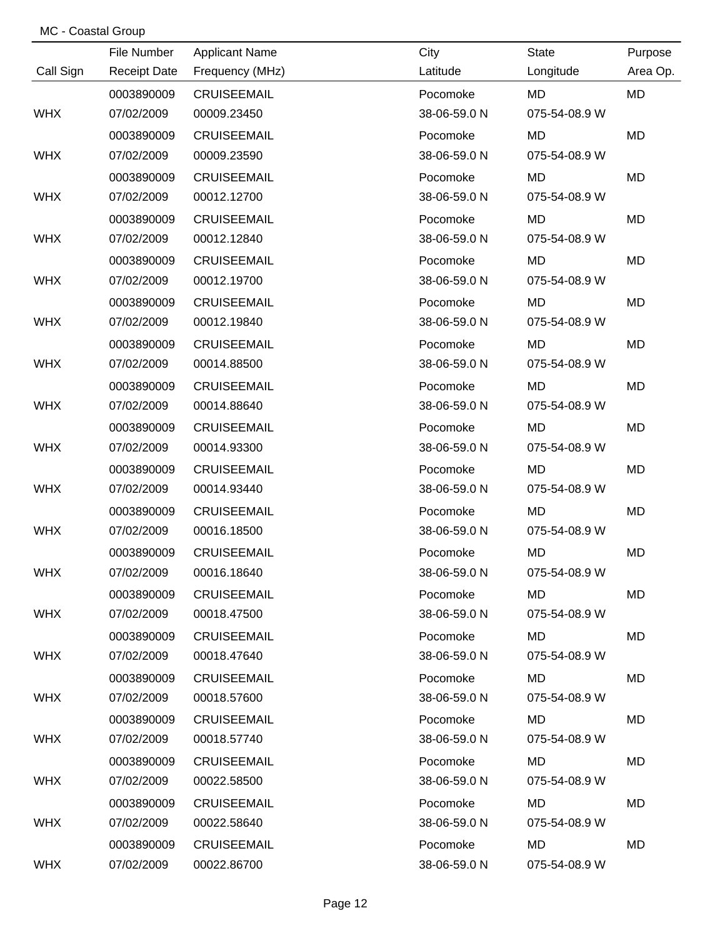|            | File Number         | <b>Applicant Name</b> | City         | <b>State</b>  | Purpose   |
|------------|---------------------|-----------------------|--------------|---------------|-----------|
| Call Sign  | <b>Receipt Date</b> | Frequency (MHz)       | Latitude     | Longitude     | Area Op.  |
|            | 0003890009          | <b>CRUISEEMAIL</b>    | Pocomoke     | <b>MD</b>     | <b>MD</b> |
| <b>WHX</b> | 07/02/2009          | 00009.23450           | 38-06-59.0 N | 075-54-08.9 W |           |
|            | 0003890009          | <b>CRUISEEMAIL</b>    | Pocomoke     | MD            | <b>MD</b> |
| <b>WHX</b> | 07/02/2009          | 00009.23590           | 38-06-59.0 N | 075-54-08.9 W |           |
|            | 0003890009          | <b>CRUISEEMAIL</b>    | Pocomoke     | <b>MD</b>     | <b>MD</b> |
| <b>WHX</b> | 07/02/2009          | 00012.12700           | 38-06-59.0 N | 075-54-08.9 W |           |
|            | 0003890009          | <b>CRUISEEMAIL</b>    | Pocomoke     | <b>MD</b>     | <b>MD</b> |
| <b>WHX</b> | 07/02/2009          | 00012.12840           | 38-06-59.0 N | 075-54-08.9 W |           |
|            | 0003890009          | <b>CRUISEEMAIL</b>    | Pocomoke     | <b>MD</b>     | <b>MD</b> |
| <b>WHX</b> | 07/02/2009          | 00012.19700           | 38-06-59.0 N | 075-54-08.9 W |           |
|            | 0003890009          | <b>CRUISEEMAIL</b>    | Pocomoke     | <b>MD</b>     | <b>MD</b> |
| <b>WHX</b> | 07/02/2009          | 00012.19840           | 38-06-59.0 N | 075-54-08.9 W |           |
|            | 0003890009          | <b>CRUISEEMAIL</b>    | Pocomoke     | <b>MD</b>     | <b>MD</b> |
| <b>WHX</b> | 07/02/2009          | 00014.88500           | 38-06-59.0 N | 075-54-08.9 W |           |
|            | 0003890009          | <b>CRUISEEMAIL</b>    | Pocomoke     | <b>MD</b>     | <b>MD</b> |
| <b>WHX</b> | 07/02/2009          | 00014.88640           | 38-06-59.0 N | 075-54-08.9 W |           |
|            | 0003890009          | <b>CRUISEEMAIL</b>    | Pocomoke     | <b>MD</b>     | <b>MD</b> |
| <b>WHX</b> | 07/02/2009          | 00014.93300           | 38-06-59.0 N | 075-54-08.9 W |           |
|            | 0003890009          | <b>CRUISEEMAIL</b>    | Pocomoke     | <b>MD</b>     | <b>MD</b> |
| <b>WHX</b> | 07/02/2009          | 00014.93440           | 38-06-59.0 N | 075-54-08.9 W |           |
|            | 0003890009          | <b>CRUISEEMAIL</b>    | Pocomoke     | <b>MD</b>     | <b>MD</b> |
| <b>WHX</b> | 07/02/2009          | 00016.18500           | 38-06-59.0 N | 075-54-08.9 W |           |
|            | 0003890009          | <b>CRUISEEMAIL</b>    | Pocomoke     | <b>MD</b>     | <b>MD</b> |
| <b>WHX</b> | 07/02/2009          | 00016.18640           | 38-06-59.0 N | 075-54-08.9 W |           |
|            | 0003890009          | <b>CRUISEEMAIL</b>    | Pocomoke     | MD.           | MD        |
| <b>WHX</b> | 07/02/2009          | 00018.47500           | 38-06-59.0 N | 075-54-08.9 W |           |
|            | 0003890009          | <b>CRUISEEMAIL</b>    | Pocomoke     | MD.           | MD        |
| <b>WHX</b> | 07/02/2009          | 00018.47640           | 38-06-59.0 N | 075-54-08.9 W |           |
|            | 0003890009          | <b>CRUISEEMAIL</b>    | Pocomoke     | MD            | MD        |
| <b>WHX</b> | 07/02/2009          | 00018.57600           | 38-06-59.0 N | 075-54-08.9 W |           |
|            | 0003890009          | <b>CRUISEEMAIL</b>    | Pocomoke     | MD            | MD        |
| <b>WHX</b> | 07/02/2009          | 00018.57740           | 38-06-59.0 N | 075-54-08.9 W |           |
|            | 0003890009          | <b>CRUISEEMAIL</b>    | Pocomoke     | MD            | MD        |
| <b>WHX</b> | 07/02/2009          | 00022.58500           | 38-06-59.0 N | 075-54-08.9 W |           |
|            | 0003890009          | <b>CRUISEEMAIL</b>    | Pocomoke     | MD            | MD        |
| <b>WHX</b> | 07/02/2009          | 00022.58640           | 38-06-59.0 N | 075-54-08.9 W |           |
|            | 0003890009          | <b>CRUISEEMAIL</b>    | Pocomoke     | MD            | MD        |
| <b>WHX</b> | 07/02/2009          | 00022.86700           | 38-06-59.0 N | 075-54-08.9 W |           |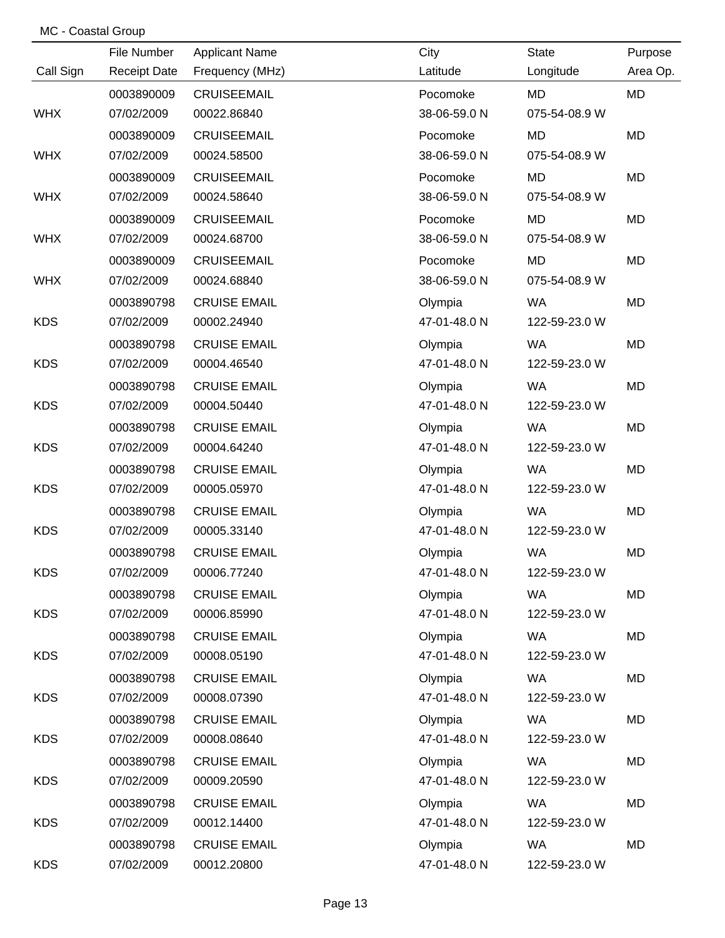|            | File Number         | <b>Applicant Name</b> | City         | <b>State</b>  | Purpose   |
|------------|---------------------|-----------------------|--------------|---------------|-----------|
| Call Sign  | <b>Receipt Date</b> | Frequency (MHz)       | Latitude     | Longitude     | Area Op.  |
|            | 0003890009          | <b>CRUISEEMAIL</b>    | Pocomoke     | <b>MD</b>     | <b>MD</b> |
| <b>WHX</b> | 07/02/2009          | 00022.86840           | 38-06-59.0 N | 075-54-08.9 W |           |
|            | 0003890009          | <b>CRUISEEMAIL</b>    | Pocomoke     | MD            | MD        |
| <b>WHX</b> | 07/02/2009          | 00024.58500           | 38-06-59.0 N | 075-54-08.9 W |           |
|            | 0003890009          | <b>CRUISEEMAIL</b>    | Pocomoke     | <b>MD</b>     | MD        |
| <b>WHX</b> | 07/02/2009          | 00024.58640           | 38-06-59.0 N | 075-54-08.9 W |           |
|            | 0003890009          | <b>CRUISEEMAIL</b>    | Pocomoke     | <b>MD</b>     | MD        |
| <b>WHX</b> | 07/02/2009          | 00024.68700           | 38-06-59.0 N | 075-54-08.9 W |           |
|            | 0003890009          | <b>CRUISEEMAIL</b>    | Pocomoke     | <b>MD</b>     | MD        |
| <b>WHX</b> | 07/02/2009          | 00024.68840           | 38-06-59.0 N | 075-54-08.9 W |           |
|            | 0003890798          | <b>CRUISE EMAIL</b>   | Olympia      | <b>WA</b>     | <b>MD</b> |
| <b>KDS</b> | 07/02/2009          | 00002.24940           | 47-01-48.0 N | 122-59-23.0 W |           |
|            | 0003890798          | <b>CRUISE EMAIL</b>   | Olympia      | <b>WA</b>     | MD        |
| <b>KDS</b> | 07/02/2009          | 00004.46540           | 47-01-48.0 N | 122-59-23.0 W |           |
|            | 0003890798          | <b>CRUISE EMAIL</b>   | Olympia      | <b>WA</b>     | MD        |
| <b>KDS</b> | 07/02/2009          | 00004.50440           | 47-01-48.0 N | 122-59-23.0 W |           |
|            | 0003890798          | <b>CRUISE EMAIL</b>   | Olympia      | <b>WA</b>     | MD        |
| <b>KDS</b> | 07/02/2009          | 00004.64240           | 47-01-48.0 N | 122-59-23.0 W |           |
|            | 0003890798          | <b>CRUISE EMAIL</b>   | Olympia      | <b>WA</b>     | MD        |
| <b>KDS</b> | 07/02/2009          | 00005.05970           | 47-01-48.0 N | 122-59-23.0 W |           |
|            | 0003890798          | <b>CRUISE EMAIL</b>   | Olympia      | <b>WA</b>     | MD        |
| <b>KDS</b> | 07/02/2009          | 00005.33140           | 47-01-48.0 N | 122-59-23.0 W |           |
|            | 0003890798          | <b>CRUISE EMAIL</b>   | Olympia      | <b>WA</b>     | <b>MD</b> |
| <b>KDS</b> | 07/02/2009          | 00006.77240           | 47-01-48.0 N | 122-59-23.0 W |           |
|            | 0003890798          | <b>CRUISE EMAIL</b>   | Olympia      | WA            | MD        |
| <b>KDS</b> | 07/02/2009          | 00006.85990           | 47-01-48.0 N | 122-59-23.0 W |           |
|            | 0003890798          | <b>CRUISE EMAIL</b>   | Olympia      | <b>WA</b>     | MD        |
| <b>KDS</b> | 07/02/2009          | 00008.05190           | 47-01-48.0 N | 122-59-23.0 W |           |
|            | 0003890798          | <b>CRUISE EMAIL</b>   | Olympia      | <b>WA</b>     | MD        |
| <b>KDS</b> | 07/02/2009          | 00008.07390           | 47-01-48.0 N | 122-59-23.0 W |           |
|            | 0003890798          | <b>CRUISE EMAIL</b>   | Olympia      | <b>WA</b>     | MD        |
| <b>KDS</b> | 07/02/2009          | 00008.08640           | 47-01-48.0 N | 122-59-23.0 W |           |
|            | 0003890798          | <b>CRUISE EMAIL</b>   | Olympia      | <b>WA</b>     | MD        |
| <b>KDS</b> | 07/02/2009          | 00009.20590           | 47-01-48.0 N | 122-59-23.0 W |           |
|            | 0003890798          | <b>CRUISE EMAIL</b>   | Olympia      | <b>WA</b>     | MD        |
| <b>KDS</b> | 07/02/2009          | 00012.14400           | 47-01-48.0 N | 122-59-23.0 W |           |
|            | 0003890798          | <b>CRUISE EMAIL</b>   | Olympia      | WA            | MD        |
| <b>KDS</b> | 07/02/2009          | 00012.20800           | 47-01-48.0 N | 122-59-23.0 W |           |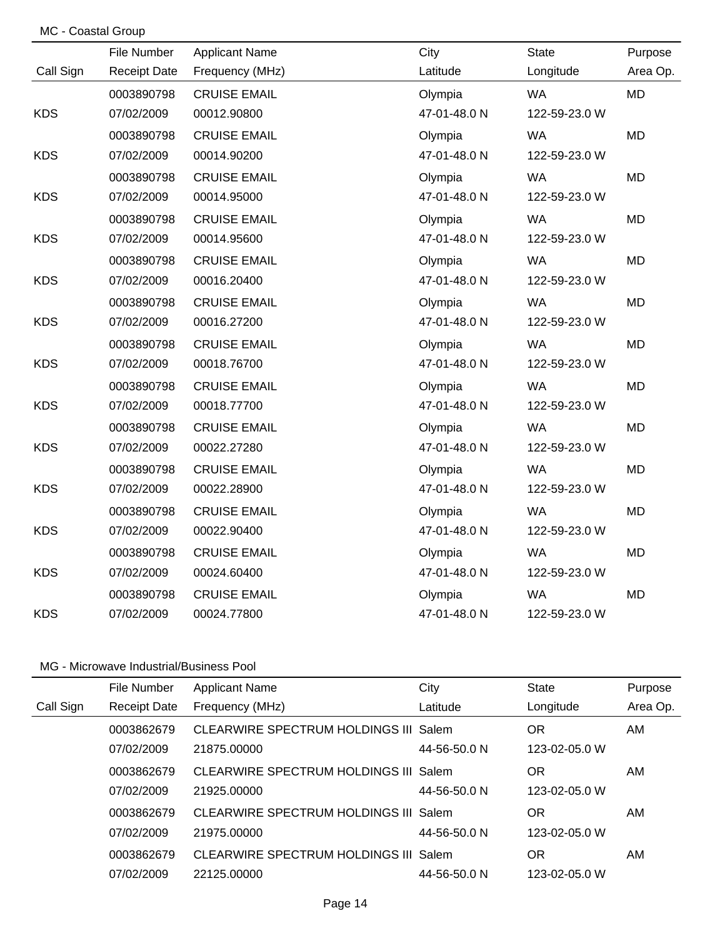| MC - Coastal Group |                     |                       |              |               |           |
|--------------------|---------------------|-----------------------|--------------|---------------|-----------|
|                    | File Number         | <b>Applicant Name</b> | City         | <b>State</b>  | Purpose   |
| Call Sign          | <b>Receipt Date</b> | Frequency (MHz)       | Latitude     | Longitude     | Area Op.  |
|                    | 0003890798          | <b>CRUISE EMAIL</b>   | Olympia      | <b>WA</b>     | <b>MD</b> |
| <b>KDS</b>         | 07/02/2009          | 00012.90800           | 47-01-48.0 N | 122-59-23.0 W |           |
|                    | 0003890798          | <b>CRUISE EMAIL</b>   | Olympia      | <b>WA</b>     | <b>MD</b> |
| <b>KDS</b>         | 07/02/2009          | 00014.90200           | 47-01-48.0 N | 122-59-23.0 W |           |
|                    | 0003890798          | <b>CRUISE EMAIL</b>   | Olympia      | <b>WA</b>     | <b>MD</b> |
| <b>KDS</b>         | 07/02/2009          | 00014.95000           | 47-01-48.0 N | 122-59-23.0 W |           |
|                    | 0003890798          | <b>CRUISE EMAIL</b>   | Olympia      | <b>WA</b>     | <b>MD</b> |
| <b>KDS</b>         | 07/02/2009          | 00014.95600           | 47-01-48.0 N | 122-59-23.0 W |           |
|                    | 0003890798          | <b>CRUISE EMAIL</b>   | Olympia      | <b>WA</b>     | <b>MD</b> |
| <b>KDS</b>         | 07/02/2009          | 00016.20400           | 47-01-48.0 N | 122-59-23.0 W |           |
|                    | 0003890798          | <b>CRUISE EMAIL</b>   | Olympia      | <b>WA</b>     | MD        |
| <b>KDS</b>         | 07/02/2009          | 00016.27200           | 47-01-48.0 N | 122-59-23.0 W |           |
|                    | 0003890798          | <b>CRUISE EMAIL</b>   | Olympia      | <b>WA</b>     | <b>MD</b> |
| <b>KDS</b>         | 07/02/2009          | 00018.76700           | 47-01-48.0 N | 122-59-23.0 W |           |
|                    | 0003890798          | <b>CRUISE EMAIL</b>   | Olympia      | <b>WA</b>     | <b>MD</b> |
| <b>KDS</b>         | 07/02/2009          | 00018.77700           | 47-01-48.0 N | 122-59-23.0 W |           |
|                    | 0003890798          | <b>CRUISE EMAIL</b>   | Olympia      | <b>WA</b>     | <b>MD</b> |
| <b>KDS</b>         | 07/02/2009          | 00022.27280           | 47-01-48.0 N | 122-59-23.0 W |           |
|                    | 0003890798          | <b>CRUISE EMAIL</b>   | Olympia      | <b>WA</b>     | <b>MD</b> |
| <b>KDS</b>         | 07/02/2009          | 00022.28900           | 47-01-48.0 N | 122-59-23.0 W |           |
|                    | 0003890798          | <b>CRUISE EMAIL</b>   | Olympia      | <b>WA</b>     | <b>MD</b> |
| <b>KDS</b>         | 07/02/2009          | 00022.90400           | 47-01-48.0 N | 122-59-23.0 W |           |
|                    | 0003890798          | <b>CRUISE EMAIL</b>   | Olympia      | <b>WA</b>     | <b>MD</b> |
| <b>KDS</b>         | 07/02/2009          | 00024.60400           | 47-01-48.0 N | 122-59-23.0 W |           |
|                    | 0003890798          | <b>CRUISE EMAIL</b>   | Olympia      | <b>WA</b>     | <b>MD</b> |
| <b>KDS</b>         | 07/02/2009          | 00024.77800           | 47-01-48.0 N | 122-59-23.0 W |           |

|           | File Number         | <b>Applicant Name</b>                 | City         | <b>State</b>  | Purpose  |
|-----------|---------------------|---------------------------------------|--------------|---------------|----------|
| Call Sign | <b>Receipt Date</b> | Frequency (MHz)                       | Latitude     | Longitude     | Area Op. |
|           | 0003862679          | CLEARWIRE SPECTRUM HOLDINGS III Salem |              | 0R            | AM.      |
|           | 07/02/2009          | 21875.00000                           | 44-56-50.0 N | 123-02-05.0 W |          |
|           | 0003862679          | CLEARWIRE SPECTRUM HOLDINGS III Salem |              | OR            | AM       |
|           | 07/02/2009          | 21925.00000                           | 44-56-50.0 N | 123-02-05.0 W |          |
|           | 0003862679          | CLEARWIRE SPECTRUM HOLDINGS III Salem |              | OR            | AM       |
|           | 07/02/2009          | 21975.00000                           | 44-56-50.0 N | 123-02-05.0 W |          |
|           | 0003862679          | CLEARWIRE SPECTRUM HOLDINGS III Salem |              | OR            | AM       |
|           | 07/02/2009          | 22125.00000                           | 44-56-50.0 N | 123-02-05.0 W |          |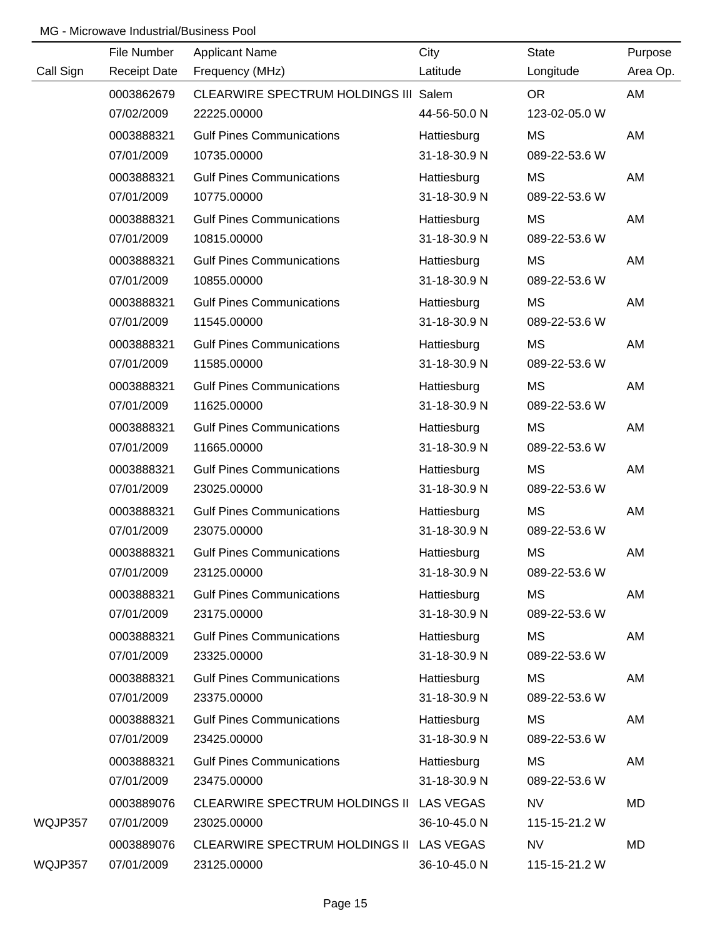|           | File Number         | <b>Applicant Name</b>                    | City         | <b>State</b>  | Purpose  |
|-----------|---------------------|------------------------------------------|--------------|---------------|----------|
| Call Sign | <b>Receipt Date</b> | Frequency (MHz)                          | Latitude     | Longitude     | Area Op. |
|           | 0003862679          | CLEARWIRE SPECTRUM HOLDINGS III Salem    |              | <b>OR</b>     | AM       |
|           | 07/02/2009          | 22225.00000                              | 44-56-50.0 N | 123-02-05.0 W |          |
|           | 0003888321          | <b>Gulf Pines Communications</b>         | Hattiesburg  | <b>MS</b>     | AM       |
|           | 07/01/2009          | 10735.00000                              | 31-18-30.9 N | 089-22-53.6 W |          |
|           | 0003888321          | <b>Gulf Pines Communications</b>         | Hattiesburg  | МS            | AM       |
|           | 07/01/2009          | 10775.00000                              | 31-18-30.9 N | 089-22-53.6 W |          |
|           | 0003888321          | <b>Gulf Pines Communications</b>         | Hattiesburg  | MS            | AM       |
|           | 07/01/2009          | 10815.00000                              | 31-18-30.9 N | 089-22-53.6 W |          |
|           | 0003888321          | <b>Gulf Pines Communications</b>         | Hattiesburg  | MS            | AM       |
|           | 07/01/2009          | 10855.00000                              | 31-18-30.9 N | 089-22-53.6 W |          |
|           | 0003888321          | <b>Gulf Pines Communications</b>         | Hattiesburg  | MS            | AM       |
|           | 07/01/2009          | 11545.00000                              | 31-18-30.9 N | 089-22-53.6 W |          |
|           | 0003888321          | <b>Gulf Pines Communications</b>         | Hattiesburg  | МS            | AM       |
|           | 07/01/2009          | 11585.00000                              | 31-18-30.9 N | 089-22-53.6 W |          |
|           | 0003888321          | <b>Gulf Pines Communications</b>         | Hattiesburg  | MS            | AM       |
|           | 07/01/2009          | 11625.00000                              | 31-18-30.9 N | 089-22-53.6 W |          |
|           | 0003888321          | <b>Gulf Pines Communications</b>         | Hattiesburg  | МS            | AM       |
|           | 07/01/2009          | 11665.00000                              | 31-18-30.9 N | 089-22-53.6 W |          |
|           | 0003888321          | <b>Gulf Pines Communications</b>         | Hattiesburg  | <b>MS</b>     | AM       |
|           | 07/01/2009          | 23025.00000                              | 31-18-30.9 N | 089-22-53.6 W |          |
|           | 0003888321          | <b>Gulf Pines Communications</b>         | Hattiesburg  | MS            | AM       |
|           | 07/01/2009          | 23075.00000                              | 31-18-30.9 N | 089-22-53.6 W |          |
|           | 0003888321          | <b>Gulf Pines Communications</b>         | Hattiesburg  | <b>MS</b>     | AM       |
|           | 07/01/2009          | 23125.00000                              | 31-18-30.9 N | 089-22-53.6 W |          |
|           | 0003888321          | <b>Gulf Pines Communications</b>         | Hattiesburg  | MS            | AM       |
|           | 07/01/2009          | 23175.00000                              | 31-18-30.9 N | 089-22-53.6 W |          |
|           | 0003888321          | <b>Gulf Pines Communications</b>         | Hattiesburg  | МS            | AM       |
|           | 07/01/2009          | 23325.00000                              | 31-18-30.9 N | 089-22-53.6 W |          |
|           | 0003888321          | <b>Gulf Pines Communications</b>         | Hattiesburg  | МS            | AM       |
|           | 07/01/2009          | 23375.00000                              | 31-18-30.9 N | 089-22-53.6 W |          |
|           | 0003888321          | <b>Gulf Pines Communications</b>         | Hattiesburg  | МS            | AM       |
|           | 07/01/2009          | 23425.00000                              | 31-18-30.9 N | 089-22-53.6 W |          |
|           | 0003888321          | <b>Gulf Pines Communications</b>         | Hattiesburg  | МS            | AM       |
|           | 07/01/2009          | 23475.00000                              | 31-18-30.9 N | 089-22-53.6 W |          |
|           | 0003889076          | CLEARWIRE SPECTRUM HOLDINGS II LAS VEGAS |              | NV            | MD       |
| WQJP357   | 07/01/2009          | 23025.00000                              | 36-10-45.0 N | 115-15-21.2 W |          |
|           | 0003889076          | CLEARWIRE SPECTRUM HOLDINGS II LAS VEGAS |              | <b>NV</b>     | MD       |
| WQJP357   | 07/01/2009          | 23125.00000                              | 36-10-45.0 N | 115-15-21.2 W |          |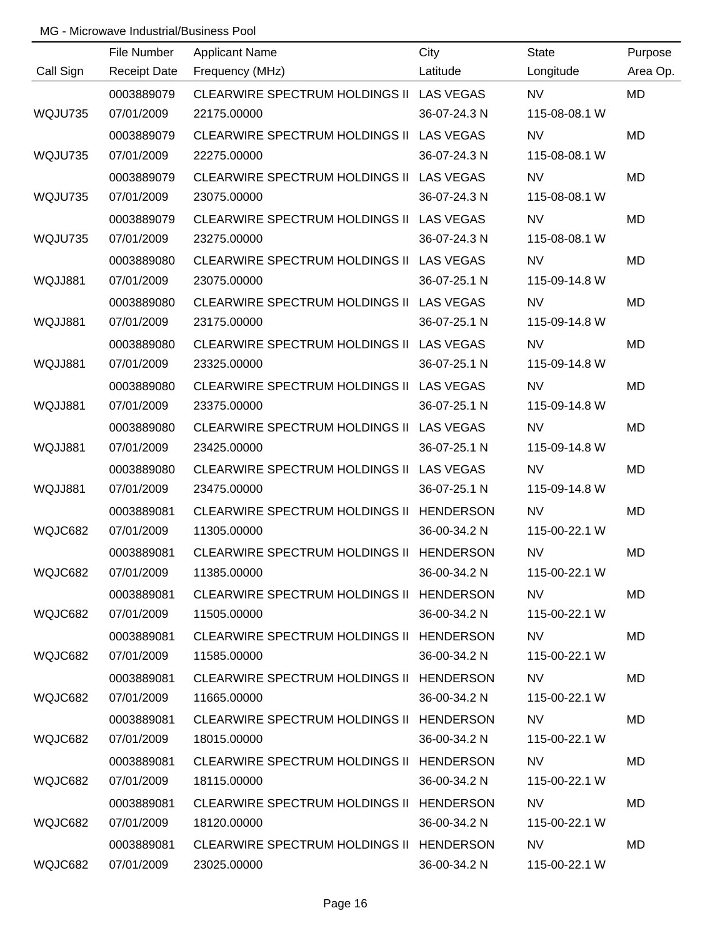| Call Sign | File Number<br><b>Receipt Date</b> | <b>Applicant Name</b><br>Frequency (MHz) | City<br>Latitude | <b>State</b><br>Longitude  | Purpose<br>Area Op. |
|-----------|------------------------------------|------------------------------------------|------------------|----------------------------|---------------------|
|           |                                    |                                          |                  |                            |                     |
|           | 0003889079<br>07/01/2009           | CLEARWIRE SPECTRUM HOLDINGS II LAS VEGAS | 36-07-24.3 N     | <b>NV</b><br>115-08-08.1 W | <b>MD</b>           |
| WQJU735   |                                    | 22175.00000                              |                  |                            |                     |
|           | 0003889079                         | CLEARWIRE SPECTRUM HOLDINGS II LAS VEGAS |                  | <b>NV</b>                  | <b>MD</b>           |
| WQJU735   | 07/01/2009                         | 22275.00000                              | 36-07-24.3 N     | 115-08-08.1 W              |                     |
|           | 0003889079                         | CLEARWIRE SPECTRUM HOLDINGS II LAS VEGAS |                  | <b>NV</b>                  | <b>MD</b>           |
| WQJU735   | 07/01/2009                         | 23075.00000                              | 36-07-24.3 N     | 115-08-08.1 W              |                     |
|           | 0003889079                         | CLEARWIRE SPECTRUM HOLDINGS II LAS VEGAS |                  | <b>NV</b>                  | <b>MD</b>           |
| WQJU735   | 07/01/2009                         | 23275.00000                              | 36-07-24.3 N     | 115-08-08.1 W              |                     |
|           | 0003889080                         | CLEARWIRE SPECTRUM HOLDINGS II LAS VEGAS |                  | <b>NV</b>                  | <b>MD</b>           |
| WQJJ881   | 07/01/2009                         | 23075.00000                              | 36-07-25.1 N     | 115-09-14.8 W              |                     |
|           | 0003889080                         | CLEARWIRE SPECTRUM HOLDINGS II LAS VEGAS |                  | <b>NV</b>                  | <b>MD</b>           |
| WQJJ881   | 07/01/2009                         | 23175.00000                              | 36-07-25.1 N     | 115-09-14.8 W              |                     |
|           | 0003889080                         | CLEARWIRE SPECTRUM HOLDINGS II LAS VEGAS |                  | <b>NV</b>                  | <b>MD</b>           |
| WQJJ881   | 07/01/2009                         | 23325.00000                              | 36-07-25.1 N     | 115-09-14.8 W              |                     |
|           | 0003889080                         | CLEARWIRE SPECTRUM HOLDINGS II LAS VEGAS |                  | <b>NV</b>                  | <b>MD</b>           |
| WQJJ881   | 07/01/2009                         | 23375.00000                              | 36-07-25.1 N     | 115-09-14.8 W              |                     |
|           | 0003889080                         | CLEARWIRE SPECTRUM HOLDINGS II LAS VEGAS |                  | <b>NV</b>                  | <b>MD</b>           |
| WQJJ881   | 07/01/2009                         | 23425.00000                              | 36-07-25.1 N     | 115-09-14.8 W              |                     |
|           | 0003889080                         | CLEARWIRE SPECTRUM HOLDINGS II LAS VEGAS |                  | <b>NV</b>                  | <b>MD</b>           |
| WQJJ881   | 07/01/2009                         | 23475.00000                              | 36-07-25.1 N     | 115-09-14.8 W              |                     |
|           | 0003889081                         | CLEARWIRE SPECTRUM HOLDINGS II HENDERSON |                  | <b>NV</b>                  | <b>MD</b>           |
| WQJC682   | 07/01/2009                         | 11305.00000                              | 36-00-34.2 N     | 115-00-22.1 W              |                     |
|           | 0003889081                         | CLEARWIRE SPECTRUM HOLDINGS II HENDERSON |                  | <b>NV</b>                  | <b>MD</b>           |
| WQJC682   | 07/01/2009                         | 11385.00000                              | 36-00-34.2 N     | 115-00-22.1 W              |                     |
|           | 0003889081                         | CLEARWIRE SPECTRUM HOLDINGS II HENDERSON |                  | NV.                        | MD                  |
| WQJC682   | 07/01/2009                         | 11505.00000                              | 36-00-34.2 N     | 115-00-22.1 W              |                     |
|           | 0003889081                         | CLEARWIRE SPECTRUM HOLDINGS II HENDERSON |                  | NV.                        | MD                  |
| WQJC682   | 07/01/2009                         | 11585.00000                              | 36-00-34.2 N     | 115-00-22.1 W              |                     |
|           | 0003889081                         | CLEARWIRE SPECTRUM HOLDINGS II HENDERSON |                  | NV.                        | MD                  |
| WQJC682   | 07/01/2009                         | 11665.00000                              | 36-00-34.2 N     | 115-00-22.1 W              |                     |
|           | 0003889081                         | CLEARWIRE SPECTRUM HOLDINGS II HENDERSON |                  | NV.                        | MD                  |
| WQJC682   | 07/01/2009                         | 18015.00000                              | 36-00-34.2 N     | 115-00-22.1 W              |                     |
|           | 0003889081                         | CLEARWIRE SPECTRUM HOLDINGS II HENDERSON |                  | NV.                        | MD                  |
| WQJC682   | 07/01/2009                         | 18115.00000                              | 36-00-34.2 N     | 115-00-22.1 W              |                     |
|           | 0003889081                         | CLEARWIRE SPECTRUM HOLDINGS II HENDERSON |                  | <b>NV</b>                  | MD.                 |
| WQJC682   | 07/01/2009                         | 18120.00000                              | 36-00-34.2 N     | 115-00-22.1 W              |                     |
|           | 0003889081                         | CLEARWIRE SPECTRUM HOLDINGS II HENDERSON |                  | <b>NV</b>                  | MD                  |
| WQJC682   | 07/01/2009                         | 23025.00000                              | 36-00-34.2 N     | 115-00-22.1 W              |                     |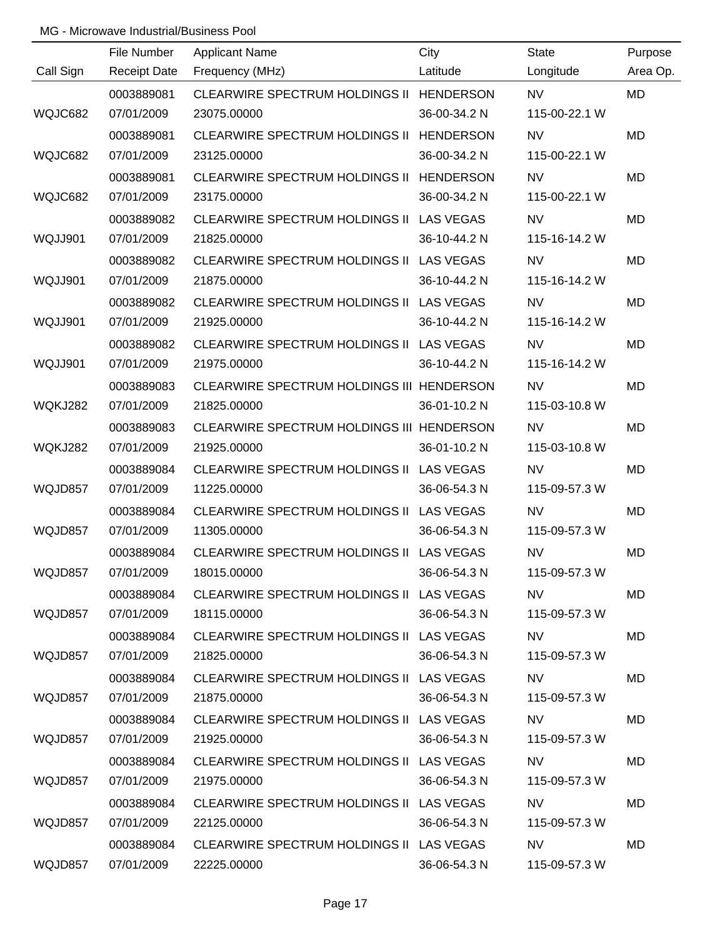|           | File Number         | <b>Applicant Name</b>                     | City         | <b>State</b>                                                                                                                                                                                                                             | Purpose   |
|-----------|---------------------|-------------------------------------------|--------------|------------------------------------------------------------------------------------------------------------------------------------------------------------------------------------------------------------------------------------------|-----------|
| Call Sign | <b>Receipt Date</b> | Frequency (MHz)                           | Latitude     | Longitude                                                                                                                                                                                                                                | Area Op.  |
|           | 0003889081          | CLEARWIRE SPECTRUM HOLDINGS II HENDERSON  |              | <b>NV</b>                                                                                                                                                                                                                                | <b>MD</b> |
| WQJC682   | 07/01/2009          | 23075.00000                               | 36-00-34.2 N | 115-00-22.1 W                                                                                                                                                                                                                            |           |
|           | 0003889081          | CLEARWIRE SPECTRUM HOLDINGS II HENDERSON  |              | <b>NV</b>                                                                                                                                                                                                                                | <b>MD</b> |
| WQJC682   | 07/01/2009          | 23125.00000                               | 36-00-34.2 N | 115-00-22.1 W                                                                                                                                                                                                                            |           |
|           | 0003889081          | CLEARWIRE SPECTRUM HOLDINGS II HENDERSON  |              | NV                                                                                                                                                                                                                                       | <b>MD</b> |
| WQJC682   | 07/01/2009          | 23175.00000                               | 36-00-34.2 N | 115-00-22.1 W                                                                                                                                                                                                                            |           |
|           | 0003889082          | CLEARWIRE SPECTRUM HOLDINGS II LAS VEGAS  |              | <b>NV</b>                                                                                                                                                                                                                                | <b>MD</b> |
| WQJJ901   | 07/01/2009          | 21825.00000                               | 36-10-44.2 N | 115-16-14.2 W                                                                                                                                                                                                                            |           |
|           | 0003889082          | CLEARWIRE SPECTRUM HOLDINGS II LAS VEGAS  |              | <b>NV</b>                                                                                                                                                                                                                                | <b>MD</b> |
| WQJJ901   | 07/01/2009          | 21875.00000                               | 36-10-44.2 N | 115-16-14.2 W                                                                                                                                                                                                                            |           |
|           | 0003889082          | CLEARWIRE SPECTRUM HOLDINGS II LAS VEGAS  |              | <b>NV</b>                                                                                                                                                                                                                                | <b>MD</b> |
| WQJJ901   | 07/01/2009          | 21925.00000                               | 36-10-44.2 N | 115-16-14.2 W                                                                                                                                                                                                                            |           |
|           | 0003889082          | CLEARWIRE SPECTRUM HOLDINGS II LAS VEGAS  |              | <b>NV</b>                                                                                                                                                                                                                                | <b>MD</b> |
| WQJJ901   | 07/01/2009          | 21975.00000                               | 36-10-44.2 N | 115-16-14.2 W                                                                                                                                                                                                                            |           |
|           | 0003889083          | CLEARWIRE SPECTRUM HOLDINGS III HENDERSON |              | <b>NV</b>                                                                                                                                                                                                                                | <b>MD</b> |
| WQKJ282   | 07/01/2009          | 21825.00000                               | 36-01-10.2 N | 115-03-10.8 W                                                                                                                                                                                                                            |           |
|           | 0003889083          | CLEARWIRE SPECTRUM HOLDINGS III HENDERSON |              | <b>NV</b>                                                                                                                                                                                                                                | <b>MD</b> |
| WQKJ282   | 07/01/2009          | 21925.00000                               | 36-01-10.2 N | 115-03-10.8 W                                                                                                                                                                                                                            |           |
|           | 0003889084          | CLEARWIRE SPECTRUM HOLDINGS II LAS VEGAS  |              | <b>NV</b>                                                                                                                                                                                                                                | <b>MD</b> |
| WQJD857   | 07/01/2009          | 11225.00000                               | 36-06-54.3 N | 115-09-57.3 W                                                                                                                                                                                                                            |           |
|           | 0003889084          | CLEARWIRE SPECTRUM HOLDINGS II LAS VEGAS  |              | <b>NV</b>                                                                                                                                                                                                                                | <b>MD</b> |
| WQJD857   | 07/01/2009          | 11305.00000                               | 36-06-54.3 N | 115-09-57.3 W                                                                                                                                                                                                                            |           |
|           | 0003889084          | CLEARWIRE SPECTRUM HOLDINGS II LAS VEGAS  |              | <b>NV</b>                                                                                                                                                                                                                                | <b>MD</b> |
| WQJD857   | 07/01/2009          | 18015.00000                               | 36-06-54.3 N | 115-09-57.3 W                                                                                                                                                                                                                            |           |
|           | 0003889084          | CLEARWIRE SPECTRUM HOLDINGS II LAS VEGAS  |              | NV -                                                                                                                                                                                                                                     | <b>MD</b> |
| WQJD857   | 07/01/2009          | 18115.00000                               | 36-06-54.3 N | 115-09-57.3 W                                                                                                                                                                                                                            |           |
|           | 0003889084          | CLEARWIRE SPECTRUM HOLDINGS II LAS VEGAS  |              | NV <sub>2</sub> and the set of the set of the set of the set of the set of the set of the set of the set of the set of the set of the set of the set of the set of the set of the set of the set of the set of the set of the set of the | MD        |
| WQJD857   | 07/01/2009          | 21825.00000                               | 36-06-54.3 N | 115-09-57.3 W                                                                                                                                                                                                                            |           |
|           | 0003889084          | CLEARWIRE SPECTRUM HOLDINGS II LAS VEGAS  |              | NV -                                                                                                                                                                                                                                     | MD        |
| WQJD857   | 07/01/2009          | 21875.00000                               | 36-06-54.3 N | 115-09-57.3 W                                                                                                                                                                                                                            |           |
|           | 0003889084          | CLEARWIRE SPECTRUM HOLDINGS II LAS VEGAS  |              | NV I                                                                                                                                                                                                                                     | MD        |
| WQJD857   | 07/01/2009          | 21925.00000                               | 36-06-54.3 N | 115-09-57.3 W                                                                                                                                                                                                                            |           |
|           | 0003889084          | CLEARWIRE SPECTRUM HOLDINGS II LAS VEGAS  |              | <b>NV</b>                                                                                                                                                                                                                                | MD        |
| WQJD857   | 07/01/2009          | 21975.00000                               | 36-06-54.3 N | 115-09-57.3 W                                                                                                                                                                                                                            |           |
|           | 0003889084          | CLEARWIRE SPECTRUM HOLDINGS II LAS VEGAS  |              | <b>NV</b>                                                                                                                                                                                                                                | <b>MD</b> |
| WQJD857   | 07/01/2009          | 22125.00000                               | 36-06-54.3 N | 115-09-57.3 W                                                                                                                                                                                                                            |           |
|           | 0003889084          | CLEARWIRE SPECTRUM HOLDINGS II LAS VEGAS  |              | <b>NV</b>                                                                                                                                                                                                                                | MD        |
| WQJD857   | 07/01/2009          | 22225.00000                               | 36-06-54.3 N | 115-09-57.3 W                                                                                                                                                                                                                            |           |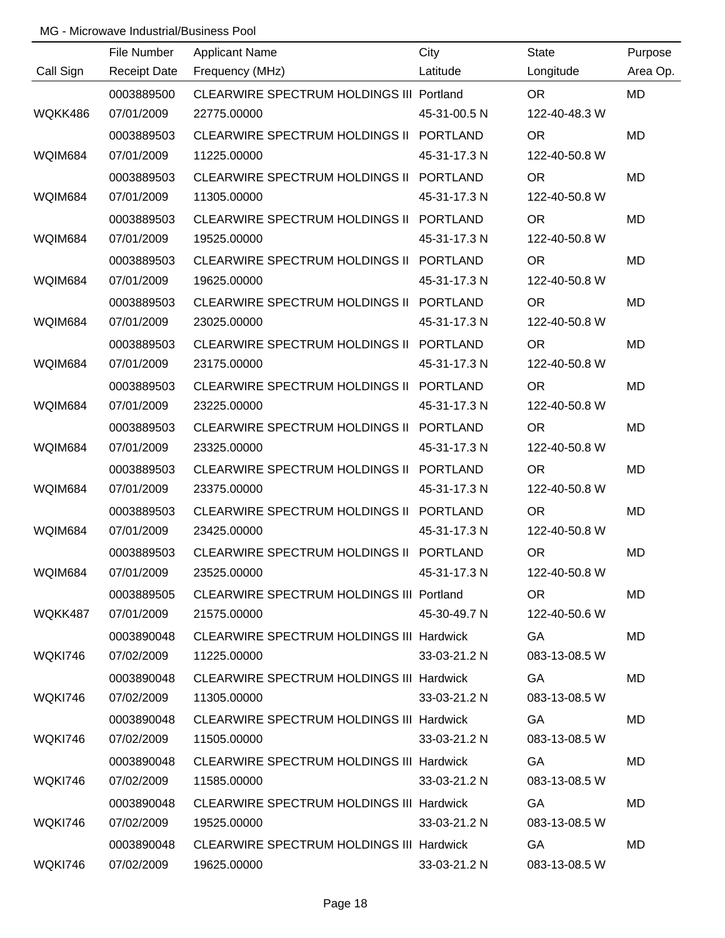|                | File Number         | <b>Applicant Name</b>                           | City            | <b>State</b>  | Purpose   |
|----------------|---------------------|-------------------------------------------------|-----------------|---------------|-----------|
| Call Sign      | <b>Receipt Date</b> | Frequency (MHz)                                 | Latitude        | Longitude     | Area Op.  |
|                | 0003889500          | <b>CLEARWIRE SPECTRUM HOLDINGS III Portland</b> |                 | <b>OR</b>     | <b>MD</b> |
| WQKK486        | 07/01/2009          | 22775.00000                                     | 45-31-00.5 N    | 122-40-48.3 W |           |
|                | 0003889503          | CLEARWIRE SPECTRUM HOLDINGS II PORTLAND         |                 | <b>OR</b>     | <b>MD</b> |
| WQIM684        | 07/01/2009          | 11225.00000                                     | 45-31-17.3 N    | 122-40-50.8 W |           |
|                | 0003889503          | CLEARWIRE SPECTRUM HOLDINGS II PORTLAND         |                 | <b>OR</b>     | <b>MD</b> |
| WQIM684        | 07/01/2009          | 11305.00000                                     | 45-31-17.3 N    | 122-40-50.8 W |           |
|                | 0003889503          | CLEARWIRE SPECTRUM HOLDINGS II PORTLAND         |                 | <b>OR</b>     | <b>MD</b> |
| WQIM684        | 07/01/2009          | 19525.00000                                     | 45-31-17.3 N    | 122-40-50.8 W |           |
|                | 0003889503          | CLEARWIRE SPECTRUM HOLDINGS II PORTLAND         |                 | <b>OR</b>     | MD        |
| WQIM684        | 07/01/2009          | 19625.00000                                     | 45-31-17.3 N    | 122-40-50.8 W |           |
|                | 0003889503          | CLEARWIRE SPECTRUM HOLDINGS II PORTLAND         |                 | <b>OR</b>     | MD        |
| WQIM684        | 07/01/2009          | 23025.00000                                     | 45-31-17.3 N    | 122-40-50.8 W |           |
|                | 0003889503          | CLEARWIRE SPECTRUM HOLDINGS II PORTLAND         |                 | <b>OR</b>     | MD        |
| WQIM684        | 07/01/2009          | 23175.00000                                     | 45-31-17.3 N    | 122-40-50.8 W |           |
|                | 0003889503          | CLEARWIRE SPECTRUM HOLDINGS II                  | <b>PORTLAND</b> | <b>OR</b>     | MD        |
| WQIM684        | 07/01/2009          | 23225.00000                                     | 45-31-17.3 N    | 122-40-50.8 W |           |
|                | 0003889503          | CLEARWIRE SPECTRUM HOLDINGS II PORTLAND         |                 | <b>OR</b>     | MD        |
| WQIM684        | 07/01/2009          | 23325.00000                                     | 45-31-17.3 N    | 122-40-50.8 W |           |
|                | 0003889503          | CLEARWIRE SPECTRUM HOLDINGS II PORTLAND         |                 | <b>OR</b>     | MD        |
| WQIM684        | 07/01/2009          | 23375.00000                                     | 45-31-17.3 N    | 122-40-50.8 W |           |
|                | 0003889503          | CLEARWIRE SPECTRUM HOLDINGS II PORTLAND         |                 | <b>OR</b>     | MD        |
| WQIM684        | 07/01/2009          | 23425.00000                                     | 45-31-17.3 N    | 122-40-50.8 W |           |
|                | 0003889503          | CLEARWIRE SPECTRUM HOLDINGS II PORTLAND         |                 | <b>OR</b>     | MD        |
| WQIM684        | 07/01/2009          | 23525.00000                                     | 45-31-17.3 N    | 122-40-50.8 W |           |
|                | 0003889505          | CLEARWIRE SPECTRUM HOLDINGS III Portland        |                 | OR.           | MD        |
| WQKK487        | 07/01/2009          | 21575.00000                                     | 45-30-49.7 N    | 122-40-50.6 W |           |
|                | 0003890048          | <b>CLEARWIRE SPECTRUM HOLDINGS III Hardwick</b> |                 | GA            | MD        |
| <b>WOKI746</b> | 07/02/2009          | 11225.00000                                     | 33-03-21.2 N    | 083-13-08.5 W |           |
|                | 0003890048          | <b>CLEARWIRE SPECTRUM HOLDINGS III Hardwick</b> |                 | GA            | MD        |
| WQKI746        | 07/02/2009          | 11305.00000                                     | 33-03-21.2 N    | 083-13-08.5 W |           |
|                | 0003890048          | <b>CLEARWIRE SPECTRUM HOLDINGS III Hardwick</b> |                 | <b>GA</b>     | <b>MD</b> |
| <b>WQKI746</b> | 07/02/2009          | 11505.00000                                     | 33-03-21.2 N    | 083-13-08.5 W |           |
|                | 0003890048          | <b>CLEARWIRE SPECTRUM HOLDINGS III Hardwick</b> |                 | GA            | MD        |
| <b>WQKI746</b> | 07/02/2009          | 11585.00000                                     | 33-03-21.2 N    | 083-13-08.5 W |           |
|                | 0003890048          | <b>CLEARWIRE SPECTRUM HOLDINGS III Hardwick</b> |                 | GA            | MD        |
| <b>WQKI746</b> | 07/02/2009          | 19525.00000                                     | 33-03-21.2 N    | 083-13-08.5 W |           |
|                | 0003890048          | <b>CLEARWIRE SPECTRUM HOLDINGS III Hardwick</b> |                 | GA            | MD        |
| WQKI746        | 07/02/2009          | 19625.00000                                     | 33-03-21.2 N    | 083-13-08.5 W |           |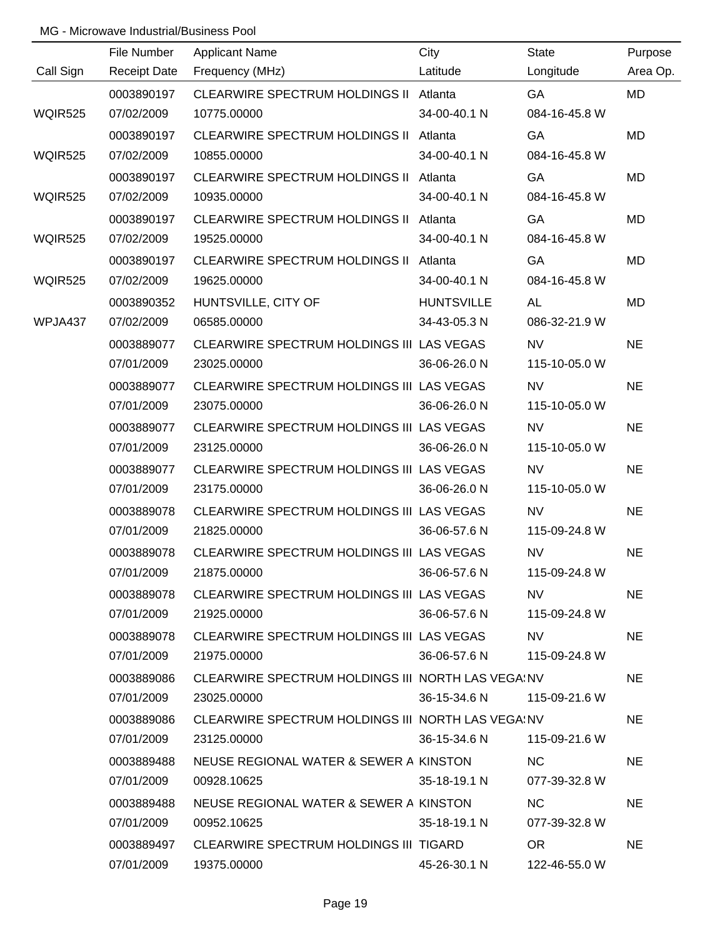|                | File Number         | <b>Applicant Name</b>                             | City              | <b>State</b>    | Purpose   |
|----------------|---------------------|---------------------------------------------------|-------------------|-----------------|-----------|
| Call Sign      | <b>Receipt Date</b> | Frequency (MHz)                                   | Latitude          | Longitude       | Area Op.  |
|                | 0003890197          | CLEARWIRE SPECTRUM HOLDINGS II Atlanta            |                   | GA              | <b>MD</b> |
| <b>WQIR525</b> | 07/02/2009          | 10775.00000                                       | 34-00-40.1 N      | 084-16-45.8 W   |           |
|                | 0003890197          | CLEARWIRE SPECTRUM HOLDINGS II Atlanta            |                   | GA              | <b>MD</b> |
| <b>WQIR525</b> | 07/02/2009          | 10855.00000                                       | 34-00-40.1 N      | 084-16-45.8 W   |           |
|                | 0003890197          | CLEARWIRE SPECTRUM HOLDINGS II Atlanta            |                   | GA              | MD        |
| <b>WQIR525</b> | 07/02/2009          | 10935.00000                                       | 34-00-40.1 N      | 084-16-45.8 W   |           |
|                | 0003890197          | CLEARWIRE SPECTRUM HOLDINGS II Atlanta            |                   | GA              | MD        |
| <b>WQIR525</b> | 07/02/2009          | 19525.00000                                       | 34-00-40.1 N      | 084-16-45.8 W   |           |
|                | 0003890197          | CLEARWIRE SPECTRUM HOLDINGS II Atlanta            |                   | GA              | MD        |
| <b>WQIR525</b> | 07/02/2009          | 19625.00000                                       | 34-00-40.1 N      | 084-16-45.8 W   |           |
|                | 0003890352          | HUNTSVILLE, CITY OF                               | <b>HUNTSVILLE</b> | AL              | MD        |
| WPJA437        | 07/02/2009          | 06585.00000                                       | 34-43-05.3 N      | 086-32-21.9 W   |           |
|                | 0003889077          | CLEARWIRE SPECTRUM HOLDINGS III LAS VEGAS         |                   | <b>NV</b>       | <b>NE</b> |
|                | 07/01/2009          | 23025.00000                                       | 36-06-26.0 N      | 115-10-05.0 W   |           |
|                | 0003889077          | CLEARWIRE SPECTRUM HOLDINGS III LAS VEGAS         |                   | <b>NV</b>       | <b>NE</b> |
|                | 07/01/2009          | 23075.00000                                       | 36-06-26.0 N      | 115-10-05.0 W   |           |
|                | 0003889077          | CLEARWIRE SPECTRUM HOLDINGS III LAS VEGAS         |                   | <b>NV</b>       | <b>NE</b> |
|                | 07/01/2009          | 23125.00000                                       | 36-06-26.0 N      | 115-10-05.0 W   |           |
|                | 0003889077          | CLEARWIRE SPECTRUM HOLDINGS III LAS VEGAS         |                   | <b>NV</b>       | <b>NE</b> |
|                | 07/01/2009          | 23175.00000                                       | 36-06-26.0 N      | 115-10-05.0 W   |           |
|                | 0003889078          | CLEARWIRE SPECTRUM HOLDINGS III LAS VEGAS         |                   | <b>NV</b>       | <b>NE</b> |
|                | 07/01/2009          | 21825.00000                                       | 36-06-57.6 N      | 115-09-24.8 W   |           |
|                | 0003889078          | CLEARWIRE SPECTRUM HOLDINGS III LAS VEGAS         |                   | <b>NV</b>       | <b>NE</b> |
|                | 07/01/2009          | 21875.00000                                       | 36-06-57.6 N      | 115-09-24.8 W   |           |
|                | 0003889078          | CLEARWIRE SPECTRUM HOLDINGS III LAS VEGAS         |                   | NV.             | <b>NE</b> |
|                | 07/01/2009          | 21925.00000                                       | 36-06-57.6 N      | 115-09-24.8 W   |           |
|                | 0003889078          | CLEARWIRE SPECTRUM HOLDINGS III LAS VEGAS         |                   | NV <sub>2</sub> | <b>NE</b> |
|                | 07/01/2009          | 21975.00000                                       | 36-06-57.6 N      | 115-09-24.8 W   |           |
|                | 0003889086          | CLEARWIRE SPECTRUM HOLDINGS III NORTH LAS VEGAINV |                   |                 | <b>NE</b> |
|                | 07/01/2009          | 23025.00000                                       | 36-15-34.6 N      | 115-09-21.6 W   |           |
|                | 0003889086          | CLEARWIRE SPECTRUM HOLDINGS III NORTH LAS VEGAINV |                   |                 | <b>NE</b> |
|                | 07/01/2009          | 23125.00000                                       | 36-15-34.6 N      | 115-09-21.6 W   |           |
|                | 0003889488          | NEUSE REGIONAL WATER & SEWER A KINSTON            |                   | <b>NC</b>       | <b>NE</b> |
|                | 07/01/2009          | 00928.10625                                       | 35-18-19.1 N      | 077-39-32.8 W   |           |
|                | 0003889488          | NEUSE REGIONAL WATER & SEWER A KINSTON            |                   | <b>NC</b>       | <b>NE</b> |
|                | 07/01/2009          | 00952.10625                                       | 35-18-19.1 N      | 077-39-32.8 W   |           |
|                | 0003889497          | CLEARWIRE SPECTRUM HOLDINGS III TIGARD            |                   | <b>OR</b>       | <b>NE</b> |
|                | 07/01/2009          | 19375.00000                                       | 45-26-30.1 N      | 122-46-55.0 W   |           |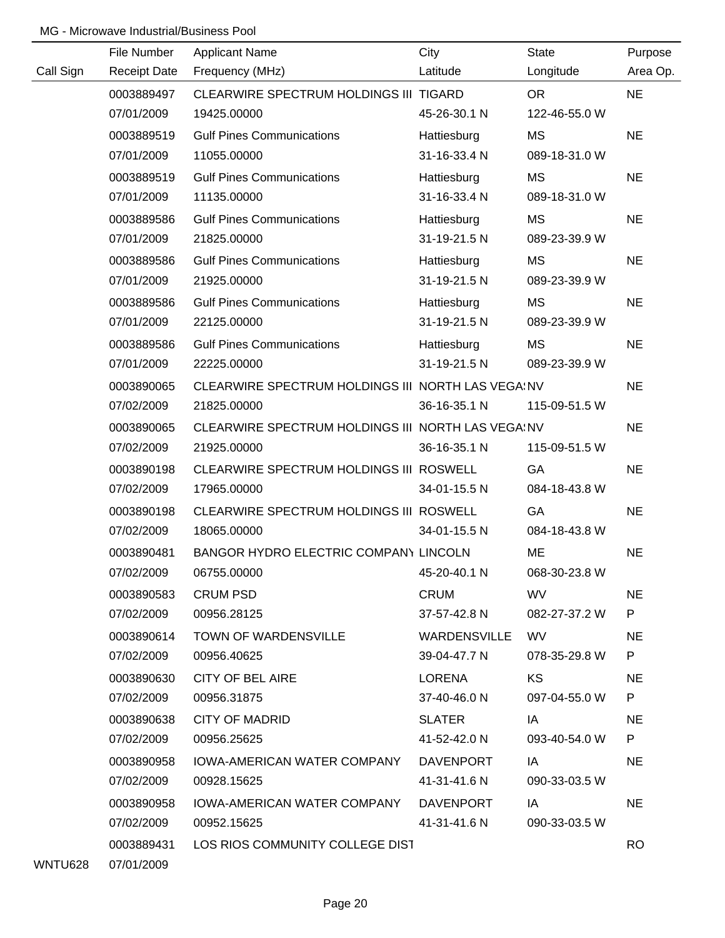|           | File Number         | <b>Applicant Name</b>                             | City         | <b>State</b>  | Purpose   |
|-----------|---------------------|---------------------------------------------------|--------------|---------------|-----------|
| Call Sign | <b>Receipt Date</b> | Frequency (MHz)                                   | Latitude     | Longitude     | Area Op.  |
|           | 0003889497          | CLEARWIRE SPECTRUM HOLDINGS III TIGARD            |              | <b>OR</b>     | <b>NE</b> |
|           | 07/01/2009          | 19425.00000                                       | 45-26-30.1 N | 122-46-55.0 W |           |
|           | 0003889519          | <b>Gulf Pines Communications</b>                  | Hattiesburg  | <b>MS</b>     | <b>NE</b> |
|           | 07/01/2009          | 11055.00000                                       | 31-16-33.4 N | 089-18-31.0 W |           |
|           | 0003889519          | <b>Gulf Pines Communications</b>                  | Hattiesburg  | MS            | <b>NE</b> |
|           | 07/01/2009          | 11135.00000                                       | 31-16-33.4 N | 089-18-31.0 W |           |
|           | 0003889586          | <b>Gulf Pines Communications</b>                  | Hattiesburg  | <b>MS</b>     | <b>NE</b> |
|           | 07/01/2009          | 21825.00000                                       | 31-19-21.5 N | 089-23-39.9 W |           |
|           | 0003889586          | <b>Gulf Pines Communications</b>                  | Hattiesburg  | MS            | <b>NE</b> |
|           | 07/01/2009          | 21925.00000                                       | 31-19-21.5 N | 089-23-39.9 W |           |
|           | 0003889586          | <b>Gulf Pines Communications</b>                  | Hattiesburg  | <b>MS</b>     | <b>NE</b> |
|           | 07/01/2009          | 22125.00000                                       | 31-19-21.5 N | 089-23-39.9 W |           |
|           | 0003889586          | <b>Gulf Pines Communications</b>                  | Hattiesburg  | <b>MS</b>     | <b>NE</b> |
|           | 07/01/2009          | 22225.00000                                       | 31-19-21.5 N | 089-23-39.9 W |           |
|           | 0003890065          | CLEARWIRE SPECTRUM HOLDINGS III NORTH LAS VEGAINV |              |               | <b>NE</b> |
|           | 07/02/2009          | 21825.00000                                       | 36-16-35.1 N | 115-09-51.5 W |           |
|           | 0003890065          | CLEARWIRE SPECTRUM HOLDINGS III NORTH LAS VEGAINV |              |               | <b>NE</b> |
|           | 07/02/2009          | 21925.00000                                       | 36-16-35.1 N | 115-09-51.5 W |           |
|           | 0003890198          | CLEARWIRE SPECTRUM HOLDINGS III ROSWELL           |              | GA            | <b>NE</b> |
|           | 07/02/2009          | 17965.00000                                       | 34-01-15.5 N | 084-18-43.8 W |           |
|           | 0003890198          | CLEARWIRE SPECTRUM HOLDINGS III ROSWELL           |              | GA            | <b>NE</b> |
|           | 07/02/2009          | 18065.00000                                       | 34-01-15.5 N | 084-18-43.8 W |           |
|           | 0003890481          | BANGOR HYDRO ELECTRIC COMPANY LINCOLN             |              | ME            | <b>NE</b> |
|           | 07/02/2009          | 06755.00000                                       | 45-20-40.1 N | 068-30-23.8 W |           |
|           | 0003890583          | <b>CRUM PSD</b>                                   | <b>CRUM</b>  | <b>WV</b>     | <b>NE</b> |
|           | 07/02/2009          | 00956.28125                                       | 37-57-42.8 N | 082-27-37.2 W | P         |
|           | 0003890614          | TOWN OF WARDENSVILLE                              | WARDENSVILLE | WV            | <b>NE</b> |
|           | 07/02/2009          | 00956.40625                                       | 39-04-47.7 N | 078-35-29.8 W | P.        |
|           | 0003890630          | <b>CITY OF BEL AIRE</b>                           | LORENA       | KS            | <b>NE</b> |
|           | 07/02/2009          | 00956.31875                                       | 37-40-46.0 N | 097-04-55.0 W | P.        |
|           | 0003890638          | <b>CITY OF MADRID</b>                             | SLATER       | IA            | <b>NE</b> |
|           | 07/02/2009          | 00956.25625                                       | 41-52-42.0 N | 093-40-54.0 W | P.        |
|           | 0003890958          | IOWA-AMERICAN WATER COMPANY                       | DAVENPORT    | IA            | <b>NE</b> |
|           | 07/02/2009          | 00928.15625                                       | 41-31-41.6 N | 090-33-03.5 W |           |
|           | 0003890958          | IOWA-AMERICAN WATER COMPANY                       | DAVENPORT    | IA            | <b>NE</b> |
|           | 07/02/2009          | 00952.15625                                       | 41-31-41.6 N | 090-33-03.5 W |           |
|           | 0003889431          | LOS RIOS COMMUNITY COLLEGE DIST                   |              |               | <b>RO</b> |

WNTU628 07/01/2009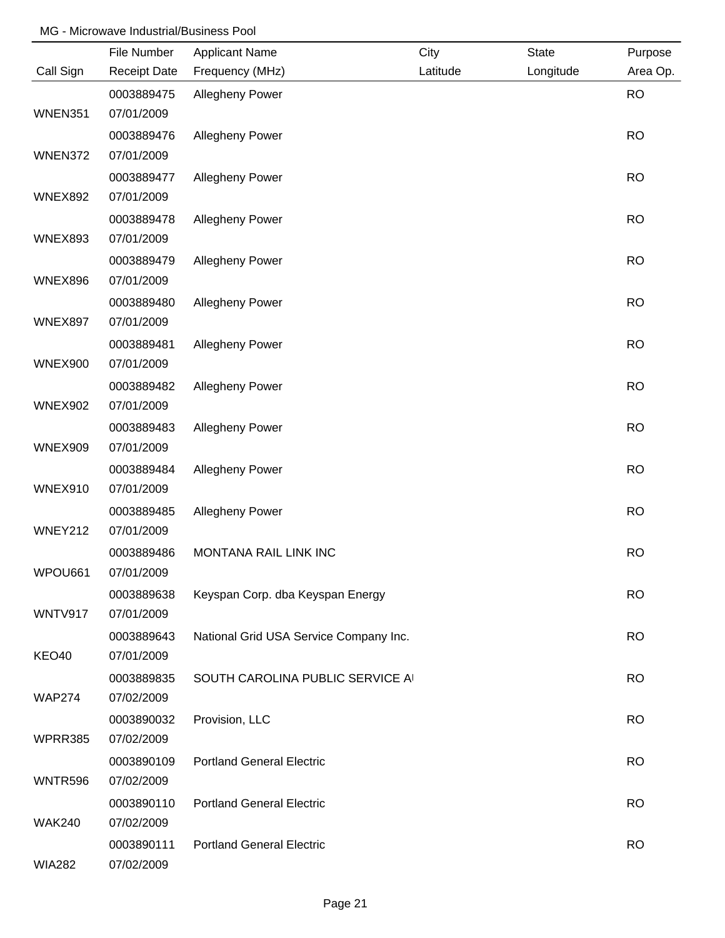|                | File Number              | <b>Applicant Name</b>                  | City     | <b>State</b> | Purpose   |
|----------------|--------------------------|----------------------------------------|----------|--------------|-----------|
| Call Sign      | <b>Receipt Date</b>      | Frequency (MHz)                        | Latitude | Longitude    | Area Op.  |
|                | 0003889475               | <b>Allegheny Power</b>                 |          |              | <b>RO</b> |
| WNEN351        | 07/01/2009               |                                        |          |              |           |
|                | 0003889476               | <b>Allegheny Power</b>                 |          |              | <b>RO</b> |
| WNEN372        | 07/01/2009               |                                        |          |              |           |
|                | 0003889477               | <b>Allegheny Power</b>                 |          |              | <b>RO</b> |
| <b>WNEX892</b> | 07/01/2009               |                                        |          |              |           |
|                | 0003889478               | <b>Allegheny Power</b>                 |          |              | <b>RO</b> |
| <b>WNEX893</b> | 07/01/2009               |                                        |          |              |           |
|                | 0003889479               | <b>Allegheny Power</b>                 |          |              | <b>RO</b> |
| <b>WNEX896</b> | 07/01/2009               |                                        |          |              |           |
| <b>WNEX897</b> | 0003889480<br>07/01/2009 | Allegheny Power                        |          |              | <b>RO</b> |
|                | 0003889481               | Allegheny Power                        |          |              | <b>RO</b> |
| <b>WNEX900</b> | 07/01/2009               |                                        |          |              |           |
|                | 0003889482               | Allegheny Power                        |          |              | <b>RO</b> |
| <b>WNEX902</b> | 07/01/2009               |                                        |          |              |           |
|                | 0003889483               | Allegheny Power                        |          |              | <b>RO</b> |
| <b>WNEX909</b> | 07/01/2009               |                                        |          |              |           |
|                | 0003889484               | Allegheny Power                        |          |              | <b>RO</b> |
| WNEX910        | 07/01/2009               |                                        |          |              |           |
|                | 0003889485               | Allegheny Power                        |          |              | <b>RO</b> |
| WNEY212        | 07/01/2009               |                                        |          |              |           |
|                | 0003889486               | MONTANA RAIL LINK INC                  |          |              | <b>RO</b> |
| WPOU661        | 07/01/2009               |                                        |          |              |           |
|                | 0003889638               | Keyspan Corp. dba Keyspan Energy       |          |              | <b>RO</b> |
| WNTV917        | 07/01/2009               |                                        |          |              |           |
|                | 0003889643               | National Grid USA Service Company Inc. |          |              | <b>RO</b> |
| KEO40          | 07/01/2009               |                                        |          |              |           |
|                | 0003889835               | SOUTH CAROLINA PUBLIC SERVICE A        |          |              | <b>RO</b> |
| <b>WAP274</b>  | 07/02/2009               |                                        |          |              |           |
|                | 0003890032               | Provision, LLC                         |          |              | <b>RO</b> |
| WPRR385        | 07/02/2009               |                                        |          |              |           |
|                | 0003890109               | <b>Portland General Electric</b>       |          |              | <b>RO</b> |
| WNTR596        | 07/02/2009               |                                        |          |              |           |
|                | 0003890110               | <b>Portland General Electric</b>       |          |              | <b>RO</b> |
| <b>WAK240</b>  | 07/02/2009               |                                        |          |              |           |
| <b>WIA282</b>  | 0003890111<br>07/02/2009 | <b>Portland General Electric</b>       |          |              | <b>RO</b> |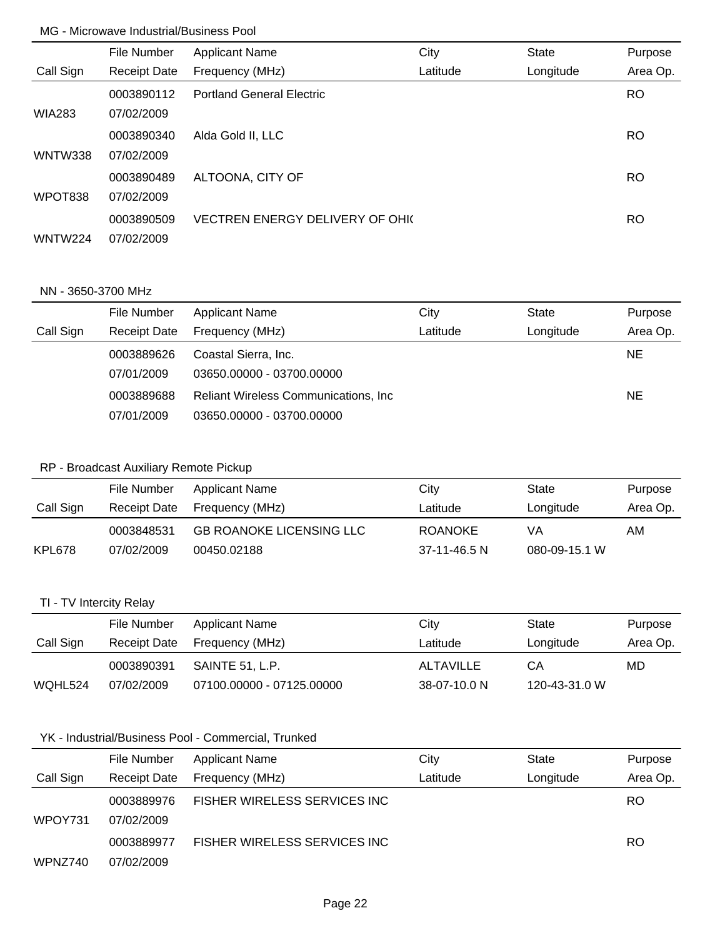|                | File Number         | <b>Applicant Name</b>            | City     | <b>State</b> | Purpose   |
|----------------|---------------------|----------------------------------|----------|--------------|-----------|
| Call Sign      | <b>Receipt Date</b> | Frequency (MHz)                  | Latitude | Longitude    | Area Op.  |
|                | 0003890112          | <b>Portland General Electric</b> |          |              | <b>RO</b> |
| <b>WIA283</b>  | 07/02/2009          |                                  |          |              |           |
|                | 0003890340          | Alda Gold II, LLC                |          |              | <b>RO</b> |
| WNTW338        | 07/02/2009          |                                  |          |              |           |
|                | 0003890489          | ALTOONA, CITY OF                 |          |              | <b>RO</b> |
| WPOT838        | 07/02/2009          |                                  |          |              |           |
|                | 0003890509          | VECTREN ENERGY DELIVERY OF OHIO  |          |              | <b>RO</b> |
| <b>WNTW224</b> | 07/02/2009          |                                  |          |              |           |

#### NN - 3650-3700 MHz

|           | File Number         | <b>Applicant Name</b>                        | City     | <b>State</b> | Purpose  |
|-----------|---------------------|----------------------------------------------|----------|--------------|----------|
| Call Sign | <b>Receipt Date</b> | Frequency (MHz)                              | Latitude | Longitude    | Area Op. |
|           | 0003889626          | Coastal Sierra, Inc.                         |          |              | NE.      |
|           | 07/01/2009          | 03650.00000 - 03700.00000                    |          |              |          |
|           | 0003889688          | <b>Reliant Wireless Communications, Inc.</b> |          |              | NE.      |
|           | 07/01/2009          | 03650.00000 - 03700.00000                    |          |              |          |

# RP - Broadcast Auxiliary Remote Pickup

|           | File Number         | Applicant Name                  | Citv           | State         | Purpose  |
|-----------|---------------------|---------------------------------|----------------|---------------|----------|
| Call Sign | <b>Receipt Date</b> | Frequency (MHz)                 | Latitude       | Longitude     | Area Op. |
|           | 0003848531          | <b>GB ROANOKE LICENSING LLC</b> | <b>ROANOKE</b> | VA            | AM       |
| KPL678    | 07/02/2009          | 00450.02188                     | 37-11-46.5 N   | 080-09-15.1 W |          |

# TI - TV Intercity Relay

|           | File Number  | Applicant Name            | City         | State         | Purpose  |
|-----------|--------------|---------------------------|--------------|---------------|----------|
| Call Sign | Receipt Date | Frequency (MHz)           | Latitude     | Longitude     | Area Op. |
|           | 0003890391   | SAINTE 51. L.P.           | ALTAVILLE    | CА            | MD       |
| WQHL524   | 07/02/2009   | 07100.00000 - 07125.00000 | 38-07-10.0 N | 120-43-31.0 W |          |

# YK - Industrial/Business Pool - Commercial, Trunked

|           | File Number              | <b>Applicant Name</b>        | City     | <b>State</b> | Purpose   |
|-----------|--------------------------|------------------------------|----------|--------------|-----------|
| Call Sign | <b>Receipt Date</b>      | Frequency (MHz)              | Latitude | Longitude    | Area Op.  |
| WPOY731   | 0003889976<br>07/02/2009 | FISHER WIRELESS SERVICES INC |          |              | RO.       |
|           | 0003889977               | FISHER WIRELESS SERVICES INC |          |              | <b>RO</b> |
| WPNZ740   | 07/02/2009               |                              |          |              |           |